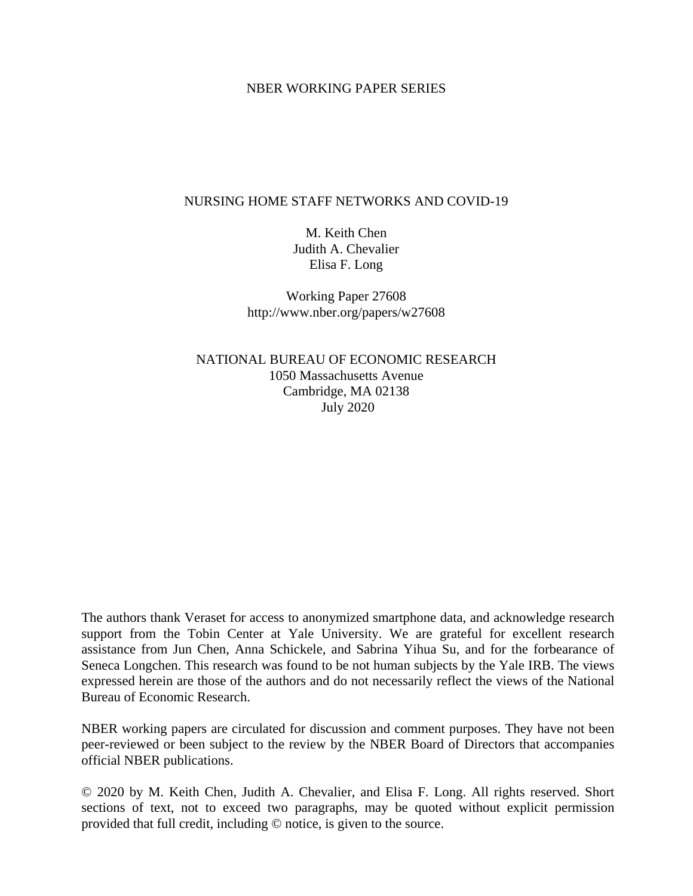# NBER WORKING PAPER SERIES

# NURSING HOME STAFF NETWORKS AND COVID-19

M. Keith Chen Judith A. Chevalier Elisa F. Long

Working Paper 27608 http://www.nber.org/papers/w27608

NATIONAL BUREAU OF ECONOMIC RESEARCH 1050 Massachusetts Avenue Cambridge, MA 02138 July 2020

The authors thank Veraset for access to anonymized smartphone data, and acknowledge research support from the Tobin Center at Yale University. We are grateful for excellent research assistance from Jun Chen, Anna Schickele, and Sabrina Yihua Su, and for the forbearance of Seneca Longchen. This research was found to be not human subjects by the Yale IRB. The views expressed herein are those of the authors and do not necessarily reflect the views of the National Bureau of Economic Research.

NBER working papers are circulated for discussion and comment purposes. They have not been peer-reviewed or been subject to the review by the NBER Board of Directors that accompanies official NBER publications.

© 2020 by M. Keith Chen, Judith A. Chevalier, and Elisa F. Long. All rights reserved. Short sections of text, not to exceed two paragraphs, may be quoted without explicit permission provided that full credit, including © notice, is given to the source.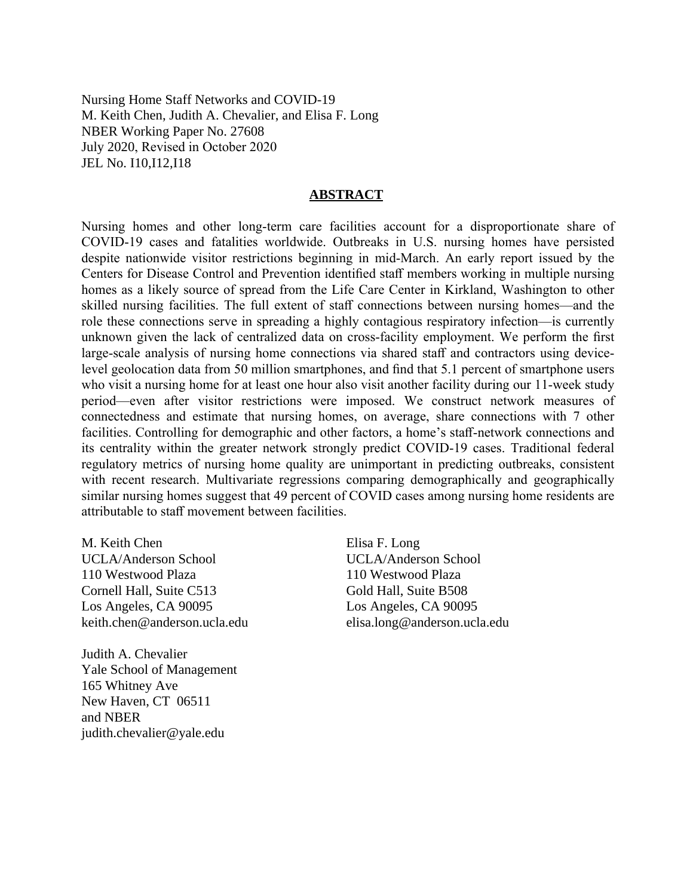Nursing Home Staff Networks and COVID-19 M. Keith Chen, Judith A. Chevalier, and Elisa F. Long NBER Working Paper No. 27608 July 2020, Revised in October 2020 JEL No. I10,I12,I18

# **ABSTRACT**

Nursing homes and other long-term care facilities account for a disproportionate share of COVID-19 cases and fatalities worldwide. Outbreaks in U.S. nursing homes have persisted despite nationwide visitor restrictions beginning in mid-March. An early report issued by the Centers for Disease Control and Prevention identified staff members working in multiple nursing homes as a likely source of spread from the Life Care Center in Kirkland, Washington to other skilled nursing facilities. The full extent of staff connections between nursing homes—and the role these connections serve in spreading a highly contagious respiratory infection—is currently unknown given the lack of centralized data on cross-facility employment. We perform the first large-scale analysis of nursing home connections via shared staff and contractors using devicelevel geolocation data from 50 million smartphones, and find that 5.1 percent of smartphone users who visit a nursing home for at least one hour also visit another facility during our 11-week study period—even after visitor restrictions were imposed. We construct network measures of connectedness and estimate that nursing homes, on average, share connections with 7 other facilities. Controlling for demographic and other factors, a home's staff-network connections and its centrality within the greater network strongly predict COVID-19 cases. Traditional federal regulatory metrics of nursing home quality are unimportant in predicting outbreaks, consistent with recent research. Multivariate regressions comparing demographically and geographically similar nursing homes suggest that 49 percent of COVID cases among nursing home residents are attributable to staff movement between facilities.

M. Keith Chen UCLA/Anderson School 110 Westwood Plaza Cornell Hall, Suite C513 Los Angeles, CA 90095 keith.chen@anderson.ucla.edu

Judith A. Chevalier Yale School of Management 165 Whitney Ave New Haven, CT 06511 and NBER judith.chevalier@yale.edu

Elisa F. Long UCLA/Anderson School 110 Westwood Plaza Gold Hall, Suite B508 Los Angeles, CA 90095 elisa.long@anderson.ucla.edu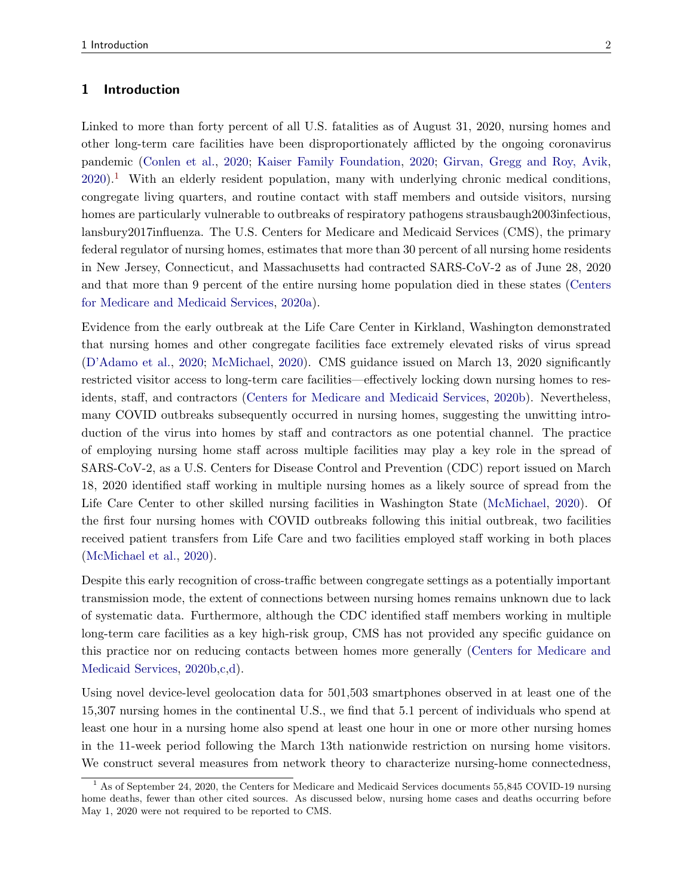#### 1 Introduction

Linked to more than forty percent of all U.S. fatalities as of August 31, 2020, nursing homes and other long-term care facilities have been disproportionately afflicted by the ongoing coronavirus pandemic [\(Conlen et al.,](#page-16-0) [2020;](#page-16-0) [Kaiser Family Foundation,](#page-17-0) [2020;](#page-17-0) [Girvan, Gregg and Roy, Avik,](#page-17-1)  $2020$ .<sup>[1](#page-2-0)</sup> With an elderly resident population, many with underlying chronic medical conditions, congregate living quarters, and routine contact with staff members and outside visitors, nursing homes are particularly vulnerable to outbreaks of respiratory pathogens strausbaugh2003infectious, lansbury2017influenza. The U.S. Centers for Medicare and Medicaid Services (CMS), the primary federal regulator of nursing homes, estimates that more than 30 percent of all nursing home residents in New Jersey, Connecticut, and Massachusetts had contracted SARS-CoV-2 as of June 28, 2020 and that more than 9 percent of the entire nursing home population died in these states [\(Centers](#page-16-1) [for Medicare and Medicaid Services,](#page-16-1) [2020a\)](#page-16-1).

Evidence from the early outbreak at the Life Care Center in Kirkland, Washington demonstrated that nursing homes and other congregate facilities face extremely elevated risks of virus spread [\(D'Adamo et al.,](#page-17-2) [2020;](#page-17-2) [McMichael,](#page-17-3) [2020\)](#page-17-3). CMS guidance issued on March 13, 2020 significantly restricted visitor access to long-term care facilities—effectively locking down nursing homes to residents, staff, and contractors [\(Centers for Medicare and Medicaid Services,](#page-16-2) [2020b\)](#page-16-2). Nevertheless, many COVID outbreaks subsequently occurred in nursing homes, suggesting the unwitting introduction of the virus into homes by staff and contractors as one potential channel. The practice of employing nursing home staff across multiple facilities may play a key role in the spread of SARS-CoV-2, as a U.S. Centers for Disease Control and Prevention (CDC) report issued on March 18, 2020 identified staff working in multiple nursing homes as a likely source of spread from the Life Care Center to other skilled nursing facilities in Washington State [\(McMichael,](#page-17-3) [2020\)](#page-17-3). Of the first four nursing homes with COVID outbreaks following this initial outbreak, two facilities received patient transfers from Life Care and two facilities employed staff working in both places [\(McMichael et al.,](#page-18-0) [2020\)](#page-18-0).

Despite this early recognition of cross-traffic between congregate settings as a potentially important transmission mode, the extent of connections between nursing homes remains unknown due to lack of systematic data. Furthermore, although the CDC identified staff members working in multiple long-term care facilities as a key high-risk group, CMS has not provided any specific guidance on this practice nor on reducing contacts between homes more generally [\(Centers for Medicare and](#page-16-2) [Medicaid Services,](#page-16-2) [2020b,](#page-16-2)[c](#page-16-3)[,d\)](#page-16-4).

Using novel device-level geolocation data for 501,503 smartphones observed in at least one of the 15,307 nursing homes in the continental U.S., we find that 5.1 percent of individuals who spend at least one hour in a nursing home also spend at least one hour in one or more other nursing homes in the 11-week period following the March 13th nationwide restriction on nursing home visitors. We construct several measures from network theory to characterize nursing-home connectedness,

<span id="page-2-0"></span><sup>&</sup>lt;sup>1</sup> As of September 24, 2020, the Centers for Medicare and Medicaid Services documents 55,845 COVID-19 nursing home deaths, fewer than other cited sources. As discussed below, nursing home cases and deaths occurring before May 1, 2020 were not required to be reported to CMS.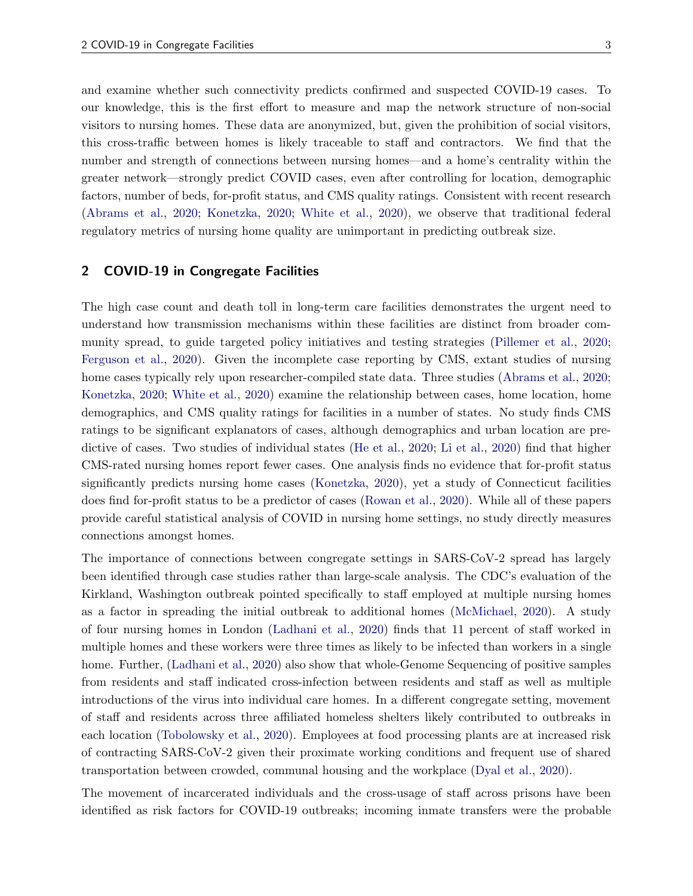and examine whether such connectivity predicts confirmed and suspected COVID-19 cases. To our knowledge, this is the first effort to measure and map the network structure of non-social visitors to nursing homes. These data are anonymized, but, given the prohibition of social visitors, this cross-traffic between homes is likely traceable to staff and contractors. We find that the number and strength of connections between nursing homes—and a home's centrality within the greater network—strongly predict COVID cases, even after controlling for location, demographic factors, number of beds, for-profit status, and CMS quality ratings. Consistent with recent research [\(Abrams et al.,](#page-16-5) [2020;](#page-16-5) [Konetzka,](#page-17-4) [2020;](#page-17-4) [White et al.,](#page-18-1) [2020\)](#page-18-1), we observe that traditional federal regulatory metrics of nursing home quality are unimportant in predicting outbreak size.

### 2 COVID-19 in Congregate Facilities

The high case count and death toll in long-term care facilities demonstrates the urgent need to understand how transmission mechanisms within these facilities are distinct from broader community spread, to guide targeted policy initiatives and testing strategies [\(Pillemer et al.,](#page-18-2) [2020;](#page-18-2) [Ferguson et al.,](#page-17-5) [2020\)](#page-17-5). Given the incomplete case reporting by CMS, extant studies of nursing home cases typically rely upon researcher-compiled state data. Three studies [\(Abrams et al.,](#page-16-5) [2020;](#page-16-5) [Konetzka,](#page-17-4) [2020;](#page-17-4) [White et al.,](#page-18-1) [2020\)](#page-18-1) examine the relationship between cases, home location, home demographics, and CMS quality ratings for facilities in a number of states. No study finds CMS ratings to be significant explanators of cases, although demographics and urban location are predictive of cases. Two studies of individual states [\(He et al.,](#page-17-6) [2020;](#page-17-6) [Li et al.,](#page-17-7) [2020\)](#page-17-7) find that higher CMS-rated nursing homes report fewer cases. One analysis finds no evidence that for-profit status significantly predicts nursing home cases [\(Konetzka,](#page-17-4) [2020\)](#page-17-4), yet a study of Connecticut facilities does find for-profit status to be a predictor of cases [\(Rowan et al.,](#page-18-3) [2020\)](#page-18-3). While all of these papers provide careful statistical analysis of COVID in nursing home settings, no study directly measures connections amongst homes.

The importance of connections between congregate settings in SARS-CoV-2 spread has largely been identified through case studies rather than large-scale analysis. The CDC's evaluation of the Kirkland, Washington outbreak pointed specifically to staff employed at multiple nursing homes as a factor in spreading the initial outbreak to additional homes [\(McMichael,](#page-17-3) [2020\)](#page-17-3). A study of four nursing homes in London [\(Ladhani et al.,](#page-17-8) [2020\)](#page-17-8) finds that 11 percent of staff worked in multiple homes and these workers were three times as likely to be infected than workers in a single home. Further, [\(Ladhani et al.,](#page-17-8) [2020\)](#page-17-8) also show that whole-Genome Sequencing of positive samples from residents and staff indicated cross-infection between residents and staff as well as multiple introductions of the virus into individual care homes. In a different congregate setting, movement of staff and residents across three affiliated homeless shelters likely contributed to outbreaks in each location [\(Tobolowsky et al.,](#page-18-4) [2020\)](#page-18-4). Employees at food processing plants are at increased risk of contracting SARS-CoV-2 given their proximate working conditions and frequent use of shared transportation between crowded, communal housing and the workplace [\(Dyal et al.,](#page-17-9) [2020\)](#page-17-9).

The movement of incarcerated individuals and the cross-usage of staff across prisons have been identified as risk factors for COVID-19 outbreaks; incoming inmate transfers were the probable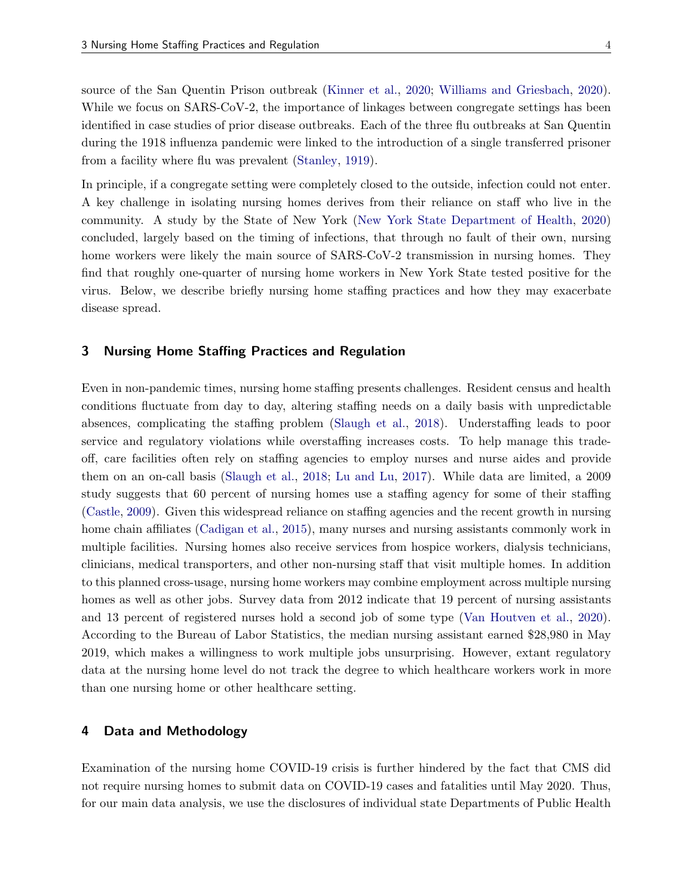source of the San Quentin Prison outbreak [\(Kinner et al.,](#page-17-10) [2020;](#page-17-10) [Williams and Griesbach,](#page-18-5) [2020\)](#page-18-5). While we focus on SARS-CoV-2, the importance of linkages between congregate settings has been identified in case studies of prior disease outbreaks. Each of the three flu outbreaks at San Quentin during the 1918 influenza pandemic were linked to the introduction of a single transferred prisoner from a facility where flu was prevalent [\(Stanley,](#page-18-6) [1919\)](#page-18-6).

In principle, if a congregate setting were completely closed to the outside, infection could not enter. A key challenge in isolating nursing homes derives from their reliance on staff who live in the community. A study by the State of New York [\(New York State Department of Health,](#page-18-7) [2020\)](#page-18-7) concluded, largely based on the timing of infections, that through no fault of their own, nursing home workers were likely the main source of SARS-CoV-2 transmission in nursing homes. They find that roughly one-quarter of nursing home workers in New York State tested positive for the virus. Below, we describe briefly nursing home staffing practices and how they may exacerbate disease spread.

### 3 Nursing Home Staffing Practices and Regulation

Even in non-pandemic times, nursing home staffing presents challenges. Resident census and health conditions fluctuate from day to day, altering staffing needs on a daily basis with unpredictable absences, complicating the staffing problem [\(Slaugh et al.,](#page-18-8) [2018\)](#page-18-8). Understaffing leads to poor service and regulatory violations while overstaffing increases costs. To help manage this tradeoff, care facilities often rely on staffing agencies to employ nurses and nurse aides and provide them on an on-call basis [\(Slaugh et al.,](#page-18-8) [2018;](#page-18-8) [Lu and Lu,](#page-17-11) [2017\)](#page-17-11). While data are limited, a 2009 study suggests that 60 percent of nursing homes use a staffing agency for some of their staffing [\(Castle,](#page-16-6) [2009\)](#page-16-6). Given this widespread reliance on staffing agencies and the recent growth in nursing home chain affiliates [\(Cadigan et al.,](#page-16-7) [2015\)](#page-16-7), many nurses and nursing assistants commonly work in multiple facilities. Nursing homes also receive services from hospice workers, dialysis technicians, clinicians, medical transporters, and other non-nursing staff that visit multiple homes. In addition to this planned cross-usage, nursing home workers may combine employment across multiple nursing homes as well as other jobs. Survey data from 2012 indicate that 19 percent of nursing assistants and 13 percent of registered nurses hold a second job of some type [\(Van Houtven et al.,](#page-18-9) [2020\)](#page-18-9). According to the Bureau of Labor Statistics, the median nursing assistant earned \$28,980 in May 2019, which makes a willingness to work multiple jobs unsurprising. However, extant regulatory data at the nursing home level do not track the degree to which healthcare workers work in more than one nursing home or other healthcare setting.

## 4 Data and Methodology

Examination of the nursing home COVID-19 crisis is further hindered by the fact that CMS did not require nursing homes to submit data on COVID-19 cases and fatalities until May 2020. Thus, for our main data analysis, we use the disclosures of individual state Departments of Public Health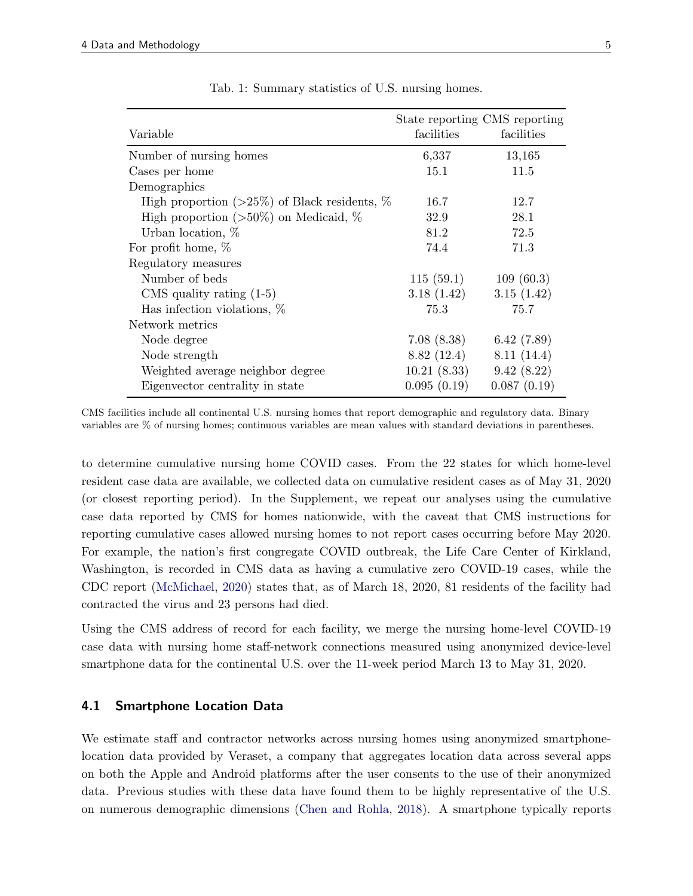|                                                      |             | State reporting CMS reporting |
|------------------------------------------------------|-------------|-------------------------------|
| Variable                                             | facilities  | facilities                    |
| Number of nursing homes                              | 6,337       | 13,165                        |
| Cases per home                                       | 15.1        | 11.5                          |
| Demographics                                         |             |                               |
| High proportion ( $>25\%$ ) of Black residents, $\%$ | 16.7        | 12.7                          |
| High proportion ( $>50\%$ ) on Medicaid, %           | 32.9        | 28.1                          |
| Urban location, $%$                                  | 81.2        | 72.5                          |
| For profit home, $%$                                 | 74.4        | 71.3                          |
| Regulatory measures                                  |             |                               |
| Number of beds                                       | 115(59.1)   | 109(60.3)                     |
| CMS quality rating $(1-5)$                           | 3.18(1.42)  | 3.15(1.42)                    |
| Has infection violations, $\%$                       | 75.3        | 75.7                          |
| Network metrics                                      |             |                               |
| Node degree                                          | 7.08(8.38)  | 6.42(7.89)                    |
| Node strength                                        | 8.82(12.4)  | 8.11(14.4)                    |
| Weighted average neighbor degree                     | 10.21(8.33) | 9.42(8.22)                    |
| Eigenvector centrality in state                      | 0.095(0.19) | 0.087(0.19)                   |

Tab. 1: Summary statistics of U.S. nursing homes.

CMS facilities include all continental U.S. nursing homes that report demographic and regulatory data. Binary variables are % of nursing homes; continuous variables are mean values with standard deviations in parentheses.

to determine cumulative nursing home COVID cases. From the 22 states for which home-level resident case data are available, we collected data on cumulative resident cases as of May 31, 2020 (or closest reporting period). In the Supplement, we repeat our analyses using the cumulative case data reported by CMS for homes nationwide, with the caveat that CMS instructions for reporting cumulative cases allowed nursing homes to not report cases occurring before May 2020. For example, the nation's first congregate COVID outbreak, the Life Care Center of Kirkland, Washington, is recorded in CMS data as having a cumulative zero COVID-19 cases, while the CDC report [\(McMichael,](#page-17-3) [2020\)](#page-17-3) states that, as of March 18, 2020, 81 residents of the facility had contracted the virus and 23 persons had died.

Using the CMS address of record for each facility, we merge the nursing home-level COVID-19 case data with nursing home staff-network connections measured using anonymized device-level smartphone data for the continental U.S. over the 11-week period March 13 to May 31, 2020.

## 4.1 Smartphone Location Data

We estimate staff and contractor networks across nursing homes using anonymized smartphonelocation data provided by Veraset, a company that aggregates location data across several apps on both the Apple and Android platforms after the user consents to the use of their anonymized data. Previous studies with these data have found them to be highly representative of the U.S. on numerous demographic dimensions [\(Chen and Rohla,](#page-16-8) [2018\)](#page-16-8). A smartphone typically reports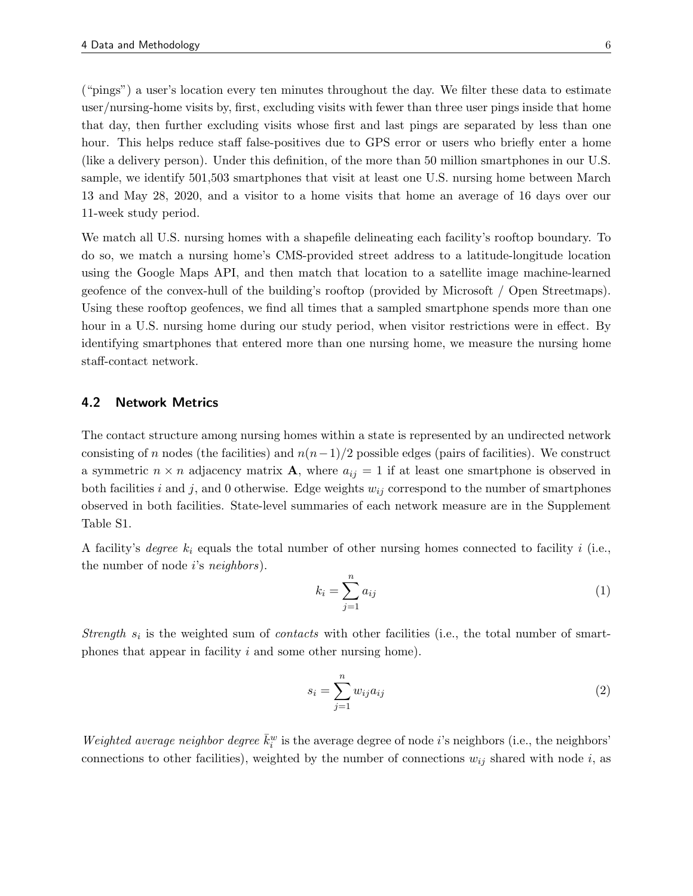("pings") a user's location every ten minutes throughout the day. We filter these data to estimate user/nursing-home visits by, first, excluding visits with fewer than three user pings inside that home that day, then further excluding visits whose first and last pings are separated by less than one hour. This helps reduce staff false-positives due to GPS error or users who briefly enter a home (like a delivery person). Under this definition, of the more than 50 million smartphones in our U.S. sample, we identify 501,503 smartphones that visit at least one U.S. nursing home between March 13 and May 28, 2020, and a visitor to a home visits that home an average of 16 days over our 11-week study period.

We match all U.S. nursing homes with a shapefile delineating each facility's rooftop boundary. To do so, we match a nursing home's CMS-provided street address to a latitude-longitude location using the Google Maps API, and then match that location to a satellite image machine-learned geofence of the convex-hull of the building's rooftop (provided by Microsoft / Open Streetmaps). Using these rooftop geofences, we find all times that a sampled smartphone spends more than one hour in a U.S. nursing home during our study period, when visitor restrictions were in effect. By identifying smartphones that entered more than one nursing home, we measure the nursing home staff-contact network.

#### 4.2 Network Metrics

The contact structure among nursing homes within a state is represented by an undirected network consisting of n nodes (the facilities) and  $n(n-1)/2$  possible edges (pairs of facilities). We construct a symmetric  $n \times n$  adjacency matrix **A**, where  $a_{ij} = 1$  if at least one smartphone is observed in both facilities i and j, and 0 otherwise. Edge weights  $w_{ij}$  correspond to the number of smartphones observed in both facilities. State-level summaries of each network measure are in the Supplement Table S1.

A facility's degree  $k_i$  equals the total number of other nursing homes connected to facility i (i.e., the number of node  $i$ 's neighbors).

$$
k_i = \sum_{j=1}^n a_{ij} \tag{1}
$$

Strength  $s_i$  is the weighted sum of *contacts* with other facilities (i.e., the total number of smartphones that appear in facility i and some other nursing home).

$$
s_i = \sum_{j=1}^n w_{ij} a_{ij} \tag{2}
$$

Weighted average neighbor degree  $\bar{k}_i^w$  is the average degree of node *i*'s neighbors (i.e., the neighbors' connections to other facilities), weighted by the number of connections  $w_{ij}$  shared with node i, as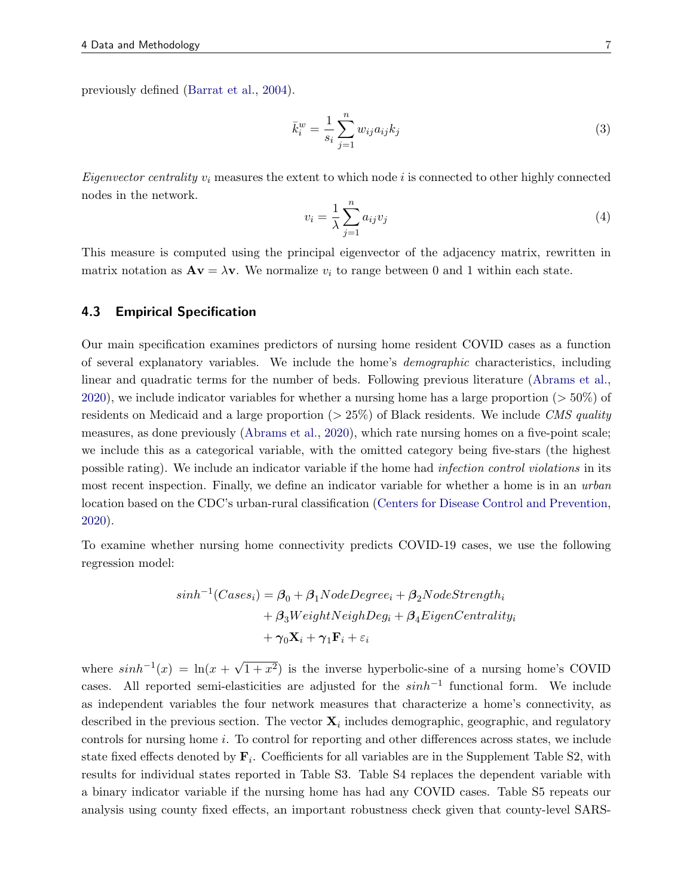previously defined [\(Barrat et al.,](#page-16-9) [2004\)](#page-16-9).

$$
\bar{k}_i^w = \frac{1}{s_i} \sum_{j=1}^n w_{ij} a_{ij} k_j \tag{3}
$$

*Eigenvector centrality*  $v_i$  measures the extent to which node i is connected to other highly connected nodes in the network.

$$
v_i = \frac{1}{\lambda} \sum_{j=1}^{n} a_{ij} v_j \tag{4}
$$

This measure is computed using the principal eigenvector of the adjacency matrix, rewritten in matrix notation as  $A\mathbf{v} = \lambda \mathbf{v}$ . We normalize  $v_i$  to range between 0 and 1 within each state.

#### 4.3 Empirical Specification

Our main specification examines predictors of nursing home resident COVID cases as a function of several explanatory variables. We include the home's demographic characteristics, including linear and quadratic terms for the number of beds. Following previous literature [\(Abrams et al.,](#page-16-5) [2020\)](#page-16-5), we include indicator variables for whether a nursing home has a large proportion  $(5.50\%)$  of residents on Medicaid and a large proportion  $(>25\%)$  of Black residents. We include CMS quality measures, as done previously [\(Abrams et al.,](#page-16-5) [2020\)](#page-16-5), which rate nursing homes on a five-point scale; we include this as a categorical variable, with the omitted category being five-stars (the highest possible rating). We include an indicator variable if the home had infection control violations in its most recent inspection. Finally, we define an indicator variable for whether a home is in an *urban* location based on the CDC's urban-rural classification [\(Centers for Disease Control and Prevention,](#page-16-10) [2020\)](#page-16-10).

To examine whether nursing home connectivity predicts COVID-19 cases, we use the following regression model:

$$
sinh^{-1}(Cases_i) = \beta_0 + \beta_1NodeDegree_i + \beta_2NodeStrongth_i
$$
  
+  $\beta_3WeightNeighDeg_i + \beta_4EigenCentrality_i$   
+  $\gamma_0 \mathbf{X}_i + \gamma_1 \mathbf{F}_i + \varepsilon_i$ 

where  $sinh^{-1}(x) = \ln(x +$ √  $\overline{1+x^2}$ ) is the inverse hyperbolic-sine of a nursing home's COVID cases. All reported semi-elasticities are adjusted for the  $sinh^{-1}$  functional form. We include as independent variables the four network measures that characterize a home's connectivity, as described in the previous section. The vector  $\mathbf{X}_i$  includes demographic, geographic, and regulatory controls for nursing home i. To control for reporting and other differences across states, we include state fixed effects denoted by  $\mathbf{F}_i$ . Coefficients for all variables are in the Supplement Table S2, with results for individual states reported in Table S3. Table S4 replaces the dependent variable with a binary indicator variable if the nursing home has had any COVID cases. Table S5 repeats our analysis using county fixed effects, an important robustness check given that county-level SARS-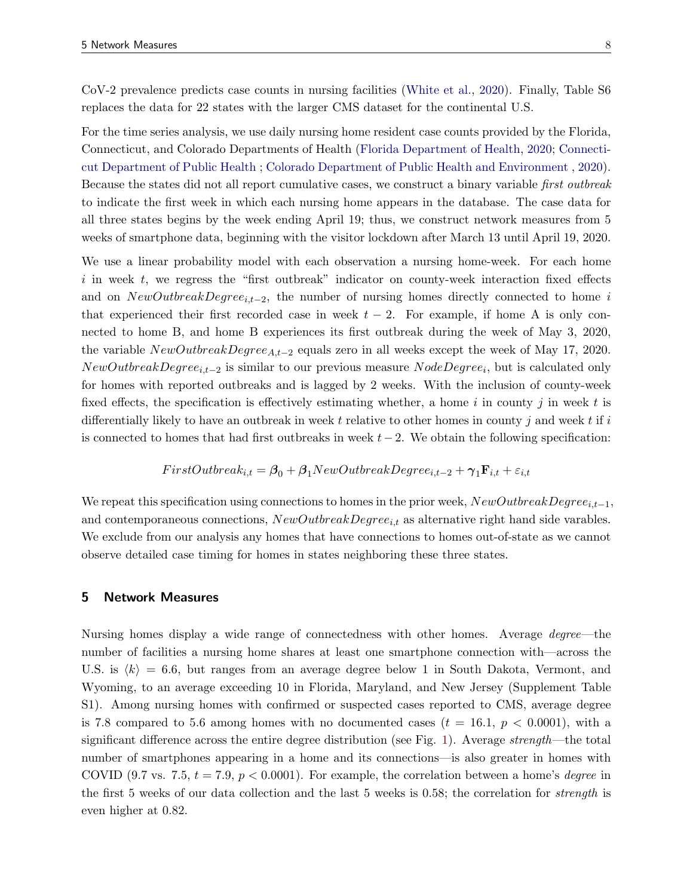CoV-2 prevalence predicts case counts in nursing facilities [\(White et al.,](#page-18-1) [2020\)](#page-18-1). Finally, Table S6 replaces the data for 22 states with the larger CMS dataset for the continental U.S.

For the time series analysis, we use daily nursing home resident case counts provided by the Florida, Connecticut, and Colorado Departments of Health [\(Florida Department of Health,](#page-17-12) [2020;](#page-17-12) [Connecti](#page-16-11)[cut Department of Public Health](#page-16-11) ; [Colorado Department of Public Health and Environment](#page-16-12) , [2020\)](#page-16-12). Because the states did not all report cumulative cases, we construct a binary variable first outbreak to indicate the first week in which each nursing home appears in the database. The case data for all three states begins by the week ending April 19; thus, we construct network measures from 5 weeks of smartphone data, beginning with the visitor lockdown after March 13 until April 19, 2020.

We use a linear probability model with each observation a nursing home-week. For each home  $i$  in week  $t$ , we regress the "first outbreak" indicator on county-week interaction fixed effects and on  $NewOutbreakDegree_{i,t-2}$ , the number of nursing homes directly connected to home i that experienced their first recorded case in week  $t - 2$ . For example, if home A is only connected to home B, and home B experiences its first outbreak during the week of May 3, 2020, the variable  $NewOutbreakDegree_{A,t-2}$  equals zero in all weeks except the week of May 17, 2020.  $NewOutbreakDegree_{i,t-2}$  is similar to our previous measure  $NodeDegree_i$ , but is calculated only for homes with reported outbreaks and is lagged by 2 weeks. With the inclusion of county-week fixed effects, the specification is effectively estimating whether, a home i in county j in week t is differentially likely to have an outbreak in week t relative to other homes in county j and week t if i is connected to homes that had first outbreaks in week  $t-2$ . We obtain the following specification:

$$
FirstOutbreak_{i,t} = \beta_0 + \beta_1 NewOutbreakDegree_{i,t-2} + \gamma_1 \mathbf{F}_{i,t} + \varepsilon_{i,t}
$$

We repeat this specification using connections to homes in the prior week,  $NewOutbreakDegree_{i,t-1}$ , and contemporaneous connections,  $NewOutbreakDegree_{i,t}$  as alternative right hand side varables. We exclude from our analysis any homes that have connections to homes out-of-state as we cannot observe detailed case timing for homes in states neighboring these three states.

#### 5 Network Measures

Nursing homes display a wide range of connectedness with other homes. Average degree—the number of facilities a nursing home shares at least one smartphone connection with—across the U.S. is  $\langle k \rangle = 6.6$ , but ranges from an average degree below 1 in South Dakota, Vermont, and Wyoming, to an average exceeding 10 in Florida, Maryland, and New Jersey (Supplement Table S1). Among nursing homes with confirmed or suspected cases reported to CMS, average degree is 7.8 compared to 5.6 among homes with no documented cases  $(t = 16.1, p < 0.0001)$ , with a significant difference across the entire degree distribution (see Fig. [1\)](#page-9-0). Average strength—the total number of smartphones appearing in a home and its connections—is also greater in homes with COVID (9.7 vs. 7.5,  $t = 7.9$ ,  $p < 0.0001$ ). For example, the correlation between a home's *degree* in the first 5 weeks of our data collection and the last 5 weeks is 0.58; the correlation for strength is even higher at 0.82.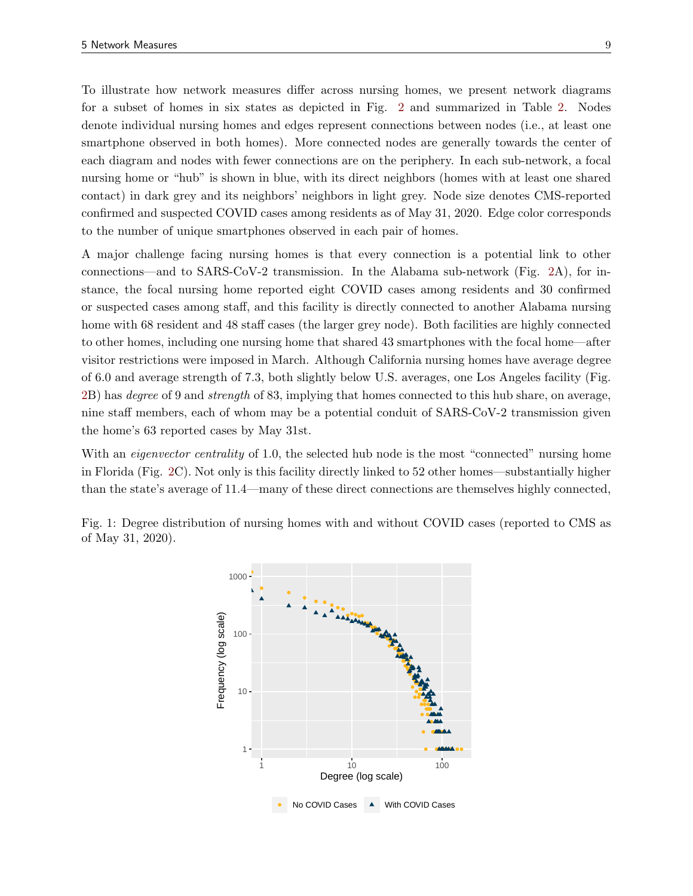To illustrate how network measures differ across nursing homes, we present network diagrams for a subset of homes in six states as depicted in Fig. [2](#page-10-0) and summarized in Table [2.](#page-11-0) Nodes denote individual nursing homes and edges represent connections between nodes (i.e., at least one smartphone observed in both homes). More connected nodes are generally towards the center of each diagram and nodes with fewer connections are on the periphery. In each sub-network, a focal nursing home or "hub" is shown in blue, with its direct neighbors (homes with at least one shared contact) in dark grey and its neighbors' neighbors in light grey. Node size denotes CMS-reported confirmed and suspected COVID cases among residents as of May 31, 2020. Edge color corresponds to the number of unique smartphones observed in each pair of homes.

A major challenge facing nursing homes is that every connection is a potential link to other connections—and to SARS-CoV-2 transmission. In the Alabama sub-network (Fig. [2A](#page-10-0)), for instance, the focal nursing home reported eight COVID cases among residents and 30 confirmed or suspected cases among staff, and this facility is directly connected to another Alabama nursing home with 68 resident and 48 staff cases (the larger grey node). Both facilities are highly connected to other homes, including one nursing home that shared 43 smartphones with the focal home—after visitor restrictions were imposed in March. Although California nursing homes have average degree of 6.0 and average strength of 7.3, both slightly below U.S. averages, one Los Angeles facility (Fig. [2B](#page-10-0)) has degree of 9 and strength of 83, implying that homes connected to this hub share, on average, nine staff members, each of whom may be a potential conduit of SARS-CoV-2 transmission given the home's 63 reported cases by May 31st.

With an *eigenvector centrality* of 1.0, the selected hub node is the most "connected" nursing home in Florida (Fig. [2C](#page-10-0)). Not only is this facility directly linked to 52 other homes—substantially higher than the state's average of 11.4—many of these direct connections are themselves highly connected,

<span id="page-9-0"></span>

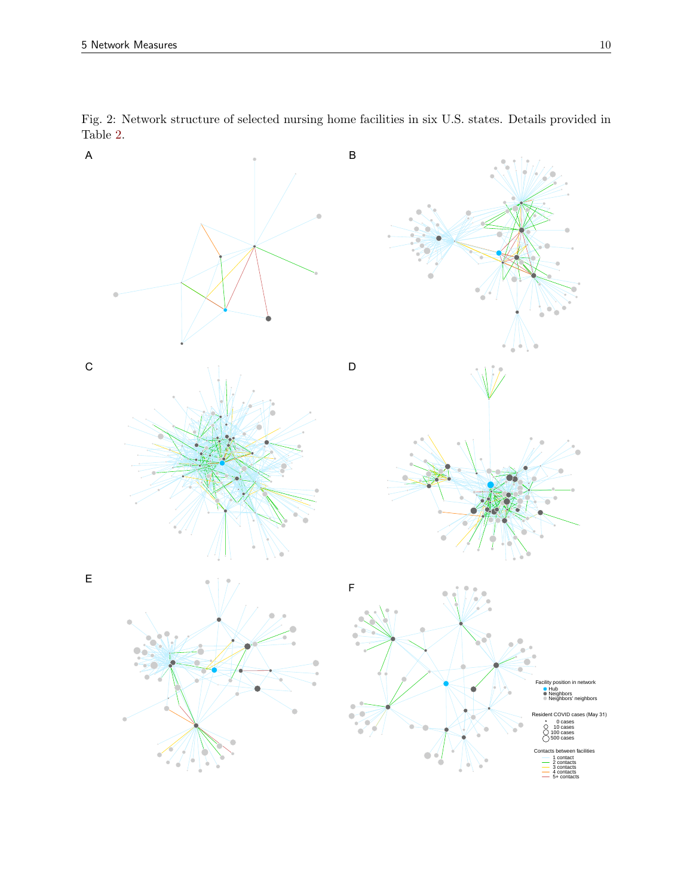

<span id="page-10-0"></span>Fig. 2: Network structure of selected nursing home facilities in six U.S. states. Details provided in Table [2.](#page-11-0)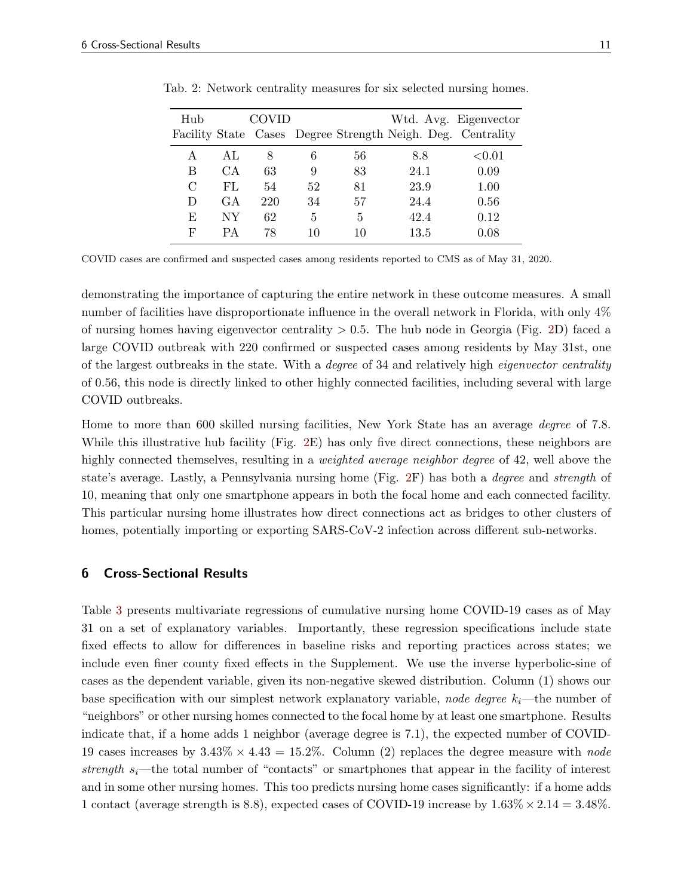| Hub |     | COVID |    |    |                                                             | Wtd. Avg. Eigenvector |
|-----|-----|-------|----|----|-------------------------------------------------------------|-----------------------|
|     |     |       |    |    | Facility State Cases Degree Strength Neigh. Deg. Centrality |                       |
| A   | AL. | 8     | 6  | 56 | 8.8                                                         | ${<}0.01$             |
| В   | CА  | 63    | 9  | 83 | 24.1                                                        | 0.09                  |
| C   | FL. | 54    | 52 | 81 | 23.9                                                        | 1.00                  |
| D   | GA  | 220   | 34 | 57 | 24.4                                                        | 0.56                  |
| E   | NΥ  | 62    | 5  | 5  | 42.4                                                        | 0.12                  |
| F   | PА  | 78    | 10 | 10 | 13.5                                                        | 0.08                  |

<span id="page-11-0"></span>Tab. 2: Network centrality measures for six selected nursing homes.

COVID cases are confirmed and suspected cases among residents reported to CMS as of May 31, 2020.

demonstrating the importance of capturing the entire network in these outcome measures. A small number of facilities have disproportionate influence in the overall network in Florida, with only 4% of nursing homes having eigenvector centrality  $> 0.5$ . The hub node in Georgia (Fig. [2D](#page-10-0)) faced a large COVID outbreak with 220 confirmed or suspected cases among residents by May 31st, one of the largest outbreaks in the state. With a degree of 34 and relatively high eigenvector centrality of 0.56, this node is directly linked to other highly connected facilities, including several with large COVID outbreaks.

Home to more than 600 skilled nursing facilities, New York State has an average degree of 7.8. While this illustrative hub facility (Fig. [2E](#page-10-0)) has only five direct connections, these neighbors are highly connected themselves, resulting in a *weighted average neighbor degree* of 42, well above the state's average. Lastly, a Pennsylvania nursing home (Fig. [2F](#page-10-0)) has both a degree and strength of 10, meaning that only one smartphone appears in both the focal home and each connected facility. This particular nursing home illustrates how direct connections act as bridges to other clusters of homes, potentially importing or exporting SARS-CoV-2 infection across different sub-networks.

#### 6 Cross-Sectional Results

Table [3](#page-12-0) presents multivariate regressions of cumulative nursing home COVID-19 cases as of May 31 on a set of explanatory variables. Importantly, these regression specifications include state fixed effects to allow for differences in baseline risks and reporting practices across states; we include even finer county fixed effects in the Supplement. We use the inverse hyperbolic-sine of cases as the dependent variable, given its non-negative skewed distribution. Column (1) shows our base specification with our simplest network explanatory variable, node degree  $k_i$ —the number of "neighbors" or other nursing homes connected to the focal home by at least one smartphone. Results indicate that, if a home adds 1 neighbor (average degree is 7.1), the expected number of COVID-19 cases increases by  $3.43\% \times 4.43 = 15.2\%$ . Column (2) replaces the degree measure with node strength  $s_i$ —the total number of "contacts" or smartphones that appear in the facility of interest and in some other nursing homes. This too predicts nursing home cases significantly: if a home adds 1 contact (average strength is 8.8), expected cases of COVID-19 increase by  $1.63\% \times 2.14 = 3.48\%$ .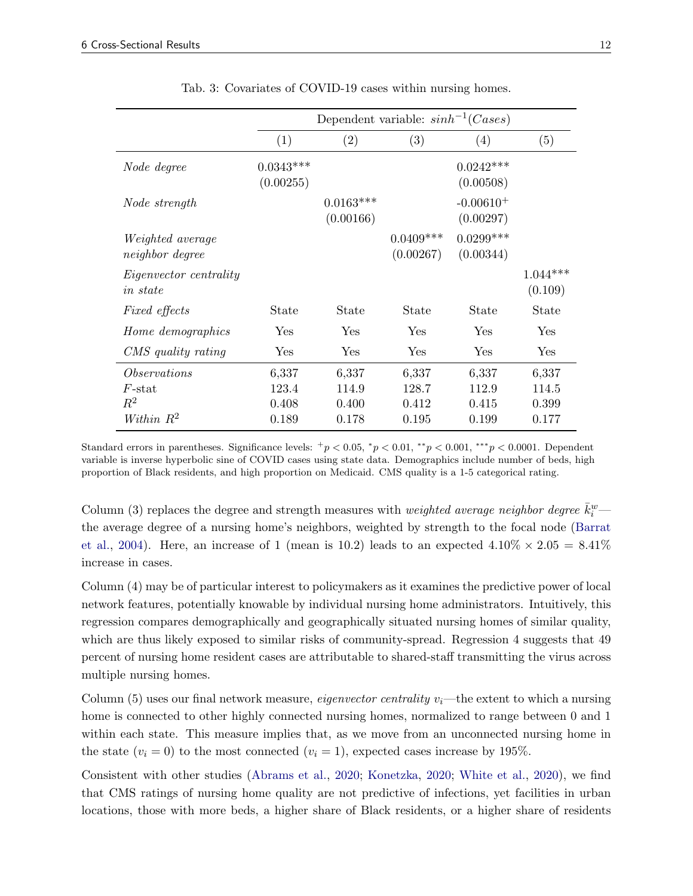<span id="page-12-0"></span>

|                                                           |                                  | Dependent variable: $sinh^{-1}(Cases)$ |                                  |                                  |                                  |
|-----------------------------------------------------------|----------------------------------|----------------------------------------|----------------------------------|----------------------------------|----------------------------------|
|                                                           | (1)                              | (2)                                    | (3)                              | (4)                              | (5)                              |
| Node degree                                               | $0.0343***$<br>(0.00255)         |                                        |                                  | $0.0242***$<br>(0.00508)         |                                  |
| Node strength                                             |                                  | $0.0163***$<br>(0.00166)               |                                  | $-0.00610+$<br>(0.00297)         |                                  |
| <i>Weighted average</i><br><i>neighbor</i> degree         |                                  |                                        | $0.0409***$<br>(0.00267)         | $0.0299***$<br>(0.00344)         |                                  |
| <i>Eigenvector centrality</i><br><i>in state</i>          |                                  |                                        |                                  |                                  | $1.044***$<br>(0.109)            |
| <i>Fixed effects</i>                                      | State                            | <b>State</b>                           | State                            | State                            | State                            |
| Home demographics                                         | Yes                              | Yes                                    | Yes                              | Yes                              | Yes                              |
| CMS quality rating                                        | Yes                              | Yes                                    | Yes                              | Yes                              | Yes                              |
| <i>Observations</i><br>$F$ -stat<br>$R^2$<br>Within $R^2$ | 6,337<br>123.4<br>0.408<br>0.189 | 6,337<br>114.9<br>0.400<br>0.178       | 6,337<br>128.7<br>0.412<br>0.195 | 6,337<br>112.9<br>0.415<br>0.199 | 6,337<br>114.5<br>0.399<br>0.177 |

Tab. 3: Covariates of COVID-19 cases within nursing homes.

Standard errors in parentheses. Significance levels:  $^{+}p < 0.05$ ,  $^{*}p < 0.01$ ,  $^{**}p < 0.001$ ,  $^{***}p < 0.0001$ . Dependent variable is inverse hyperbolic sine of COVID cases using state data. Demographics include number of beds, high proportion of Black residents, and high proportion on Medicaid. CMS quality is a 1-5 categorical rating.

Column (3) replaces the degree and strength measures with *weighted average neighbor degree*  $\bar{k}_i^w$ the average degree of a nursing home's neighbors, weighted by strength to the focal node [\(Barrat](#page-16-9) [et al.,](#page-16-9) [2004\)](#page-16-9). Here, an increase of 1 (mean is 10.2) leads to an expected  $4.10\% \times 2.05 = 8.41\%$ increase in cases.

Column (4) may be of particular interest to policymakers as it examines the predictive power of local network features, potentially knowable by individual nursing home administrators. Intuitively, this regression compares demographically and geographically situated nursing homes of similar quality, which are thus likely exposed to similar risks of community-spread. Regression 4 suggests that 49 percent of nursing home resident cases are attributable to shared-staff transmitting the virus across multiple nursing homes.

Column (5) uses our final network measure, *eigenvector centrality v<sub>i</sub>*—the extent to which a nursing home is connected to other highly connected nursing homes, normalized to range between 0 and 1 within each state. This measure implies that, as we move from an unconnected nursing home in the state  $(v_i = 0)$  to the most connected  $(v_i = 1)$ , expected cases increase by 195%.

Consistent with other studies [\(Abrams et al.,](#page-16-5) [2020;](#page-16-5) [Konetzka,](#page-17-4) [2020;](#page-17-4) [White et al.,](#page-18-1) [2020\)](#page-18-1), we find that CMS ratings of nursing home quality are not predictive of infections, yet facilities in urban locations, those with more beds, a higher share of Black residents, or a higher share of residents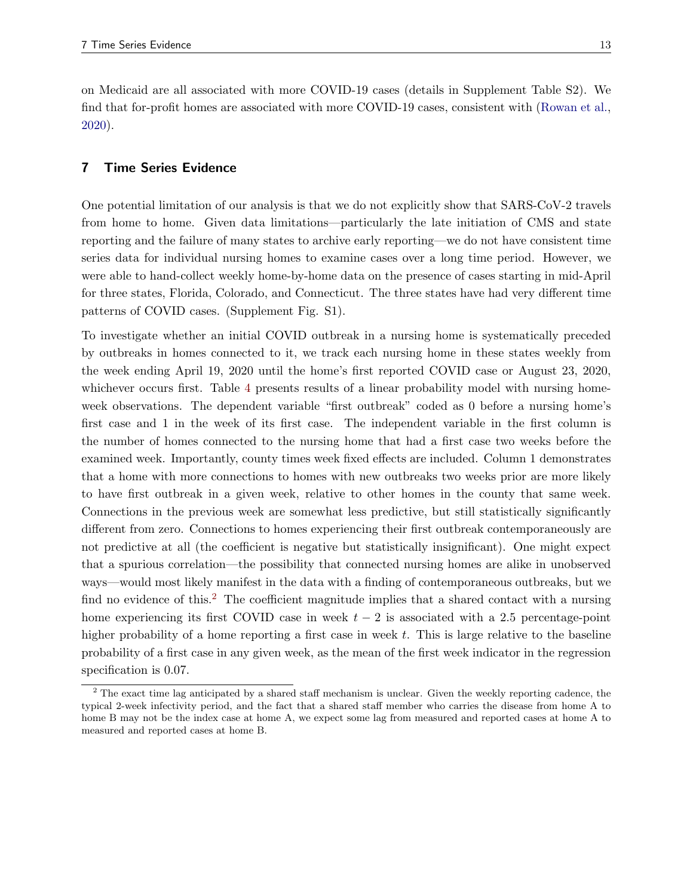on Medicaid are all associated with more COVID-19 cases (details in Supplement Table S2). We find that for-profit homes are associated with more COVID-19 cases, consistent with [\(Rowan et al.,](#page-18-3) [2020\)](#page-18-3).

# 7 Time Series Evidence

One potential limitation of our analysis is that we do not explicitly show that SARS-CoV-2 travels from home to home. Given data limitations—particularly the late initiation of CMS and state reporting and the failure of many states to archive early reporting—we do not have consistent time series data for individual nursing homes to examine cases over a long time period. However, we were able to hand-collect weekly home-by-home data on the presence of cases starting in mid-April for three states, Florida, Colorado, and Connecticut. The three states have had very different time patterns of COVID cases. (Supplement Fig. S1).

To investigate whether an initial COVID outbreak in a nursing home is systematically preceded by outbreaks in homes connected to it, we track each nursing home in these states weekly from the week ending April 19, 2020 until the home's first reported COVID case or August 23, 2020, whichever occurs first. Table [4](#page-14-0) presents results of a linear probability model with nursing homeweek observations. The dependent variable "first outbreak" coded as 0 before a nursing home's first case and 1 in the week of its first case. The independent variable in the first column is the number of homes connected to the nursing home that had a first case two weeks before the examined week. Importantly, county times week fixed effects are included. Column 1 demonstrates that a home with more connections to homes with new outbreaks two weeks prior are more likely to have first outbreak in a given week, relative to other homes in the county that same week. Connections in the previous week are somewhat less predictive, but still statistically significantly different from zero. Connections to homes experiencing their first outbreak contemporaneously are not predictive at all (the coefficient is negative but statistically insignificant). One might expect that a spurious correlation—the possibility that connected nursing homes are alike in unobserved ways—would most likely manifest in the data with a finding of contemporaneous outbreaks, but we find no evidence of this.<sup>[2](#page-13-0)</sup> The coefficient magnitude implies that a shared contact with a nursing home experiencing its first COVID case in week  $t - 2$  is associated with a 2.5 percentage-point higher probability of a home reporting a first case in week  $t$ . This is large relative to the baseline probability of a first case in any given week, as the mean of the first week indicator in the regression specification is 0.07.

<span id="page-13-0"></span><sup>&</sup>lt;sup>2</sup> The exact time lag anticipated by a shared staff mechanism is unclear. Given the weekly reporting cadence, the typical 2-week infectivity period, and the fact that a shared staff member who carries the disease from home A to home B may not be the index case at home A, we expect some lag from measured and reported cases at home A to measured and reported cases at home B.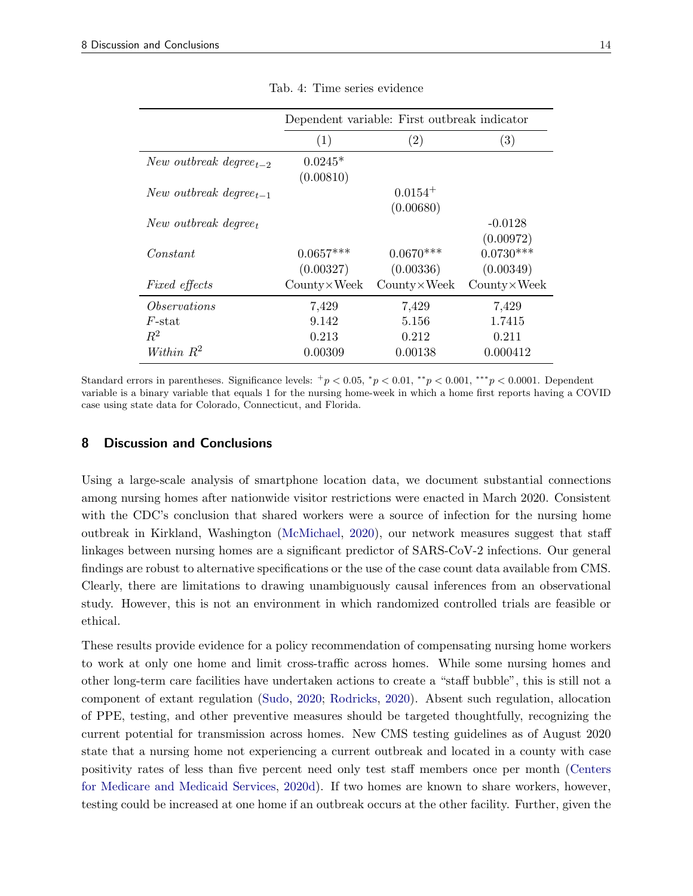<span id="page-14-0"></span>

|                                    |                       | Dependent variable: First outbreak indicator |                        |
|------------------------------------|-----------------------|----------------------------------------------|------------------------|
|                                    | (1)                   | $\left( 2\right)$                            | $\left( 3\right)$      |
| New outbreak degree <sub>t-2</sub> | $0.0245*$             |                                              |                        |
| New outbreak degree <sub>t-1</sub> | (0.00810)             | $0.0154^{+}$                                 |                        |
|                                    |                       | (0.00680)                                    |                        |
| New outbreak degree <sub>t</sub>   |                       |                                              | $-0.0128$<br>(0.00972) |
| Constant                           | $0.0657***$           | $0.0670***$                                  | $0.0730***$            |
|                                    | (0.00327)             | (0.00336)                                    | (0.00349)              |
| <i>Fixed effects</i>               | $Country \times Week$ | $Country \times Week$                        | $Country \times Week$  |
| <i>Observations</i>                | 7,429                 | 7,429                                        | 7,429                  |
| $F$ -stat                          | 9.142                 | 5.156                                        | 1.7415                 |
| $R^2$                              | 0.213                 | 0.212                                        | 0.211                  |
| Within $R^2$                       | 0.00309               | 0.00138                                      | 0.000412               |

Tab. 4: Time series evidence

Standard errors in parentheses. Significance levels:  $^{+}p < 0.05$ ,  $^{*}p < 0.01$ ,  $^{**}p < 0.001$ ,  $^{***}p < 0.0001$ . Dependent variable is a binary variable that equals 1 for the nursing home-week in which a home first reports having a COVID case using state data for Colorado, Connecticut, and Florida.

#### 8 Discussion and Conclusions

Using a large-scale analysis of smartphone location data, we document substantial connections among nursing homes after nationwide visitor restrictions were enacted in March 2020. Consistent with the CDC's conclusion that shared workers were a source of infection for the nursing home outbreak in Kirkland, Washington [\(McMichael,](#page-17-3) [2020\)](#page-17-3), our network measures suggest that staff linkages between nursing homes are a significant predictor of SARS-CoV-2 infections. Our general findings are robust to alternative specifications or the use of the case count data available from CMS. Clearly, there are limitations to drawing unambiguously causal inferences from an observational study. However, this is not an environment in which randomized controlled trials are feasible or ethical.

These results provide evidence for a policy recommendation of compensating nursing home workers to work at only one home and limit cross-traffic across homes. While some nursing homes and other long-term care facilities have undertaken actions to create a "staff bubble", this is still not a component of extant regulation [\(Sudo,](#page-18-10) [2020;](#page-18-10) [Rodricks,](#page-18-11) [2020\)](#page-18-11). Absent such regulation, allocation of PPE, testing, and other preventive measures should be targeted thoughtfully, recognizing the current potential for transmission across homes. New CMS testing guidelines as of August 2020 state that a nursing home not experiencing a current outbreak and located in a county with case positivity rates of less than five percent need only test staff members once per month [\(Centers](#page-16-4) [for Medicare and Medicaid Services,](#page-16-4) [2020d\)](#page-16-4). If two homes are known to share workers, however, testing could be increased at one home if an outbreak occurs at the other facility. Further, given the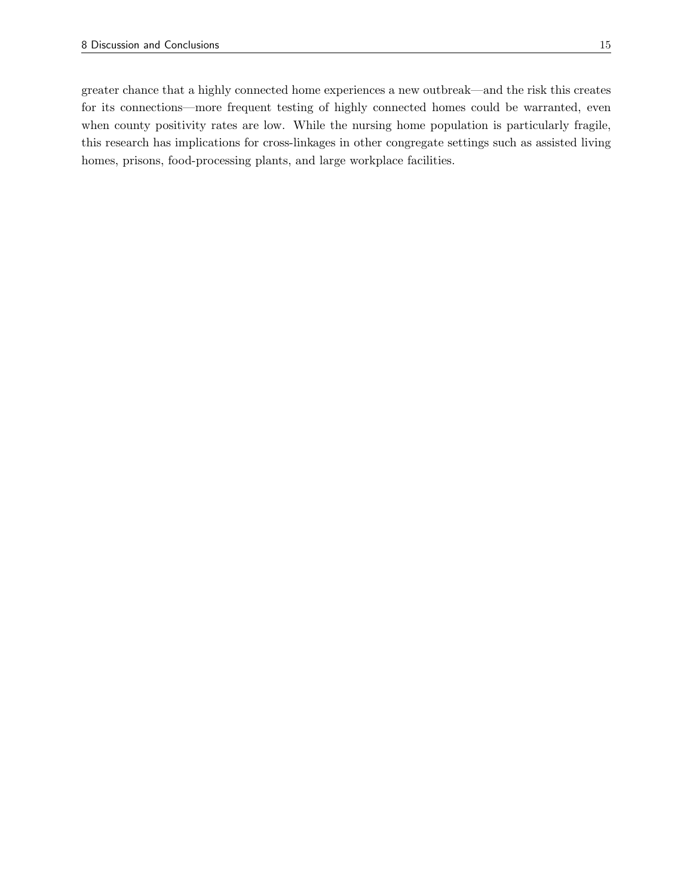greater chance that a highly connected home experiences a new outbreak—and the risk this creates for its connections—more frequent testing of highly connected homes could be warranted, even when county positivity rates are low. While the nursing home population is particularly fragile, this research has implications for cross-linkages in other congregate settings such as assisted living homes, prisons, food-processing plants, and large workplace facilities.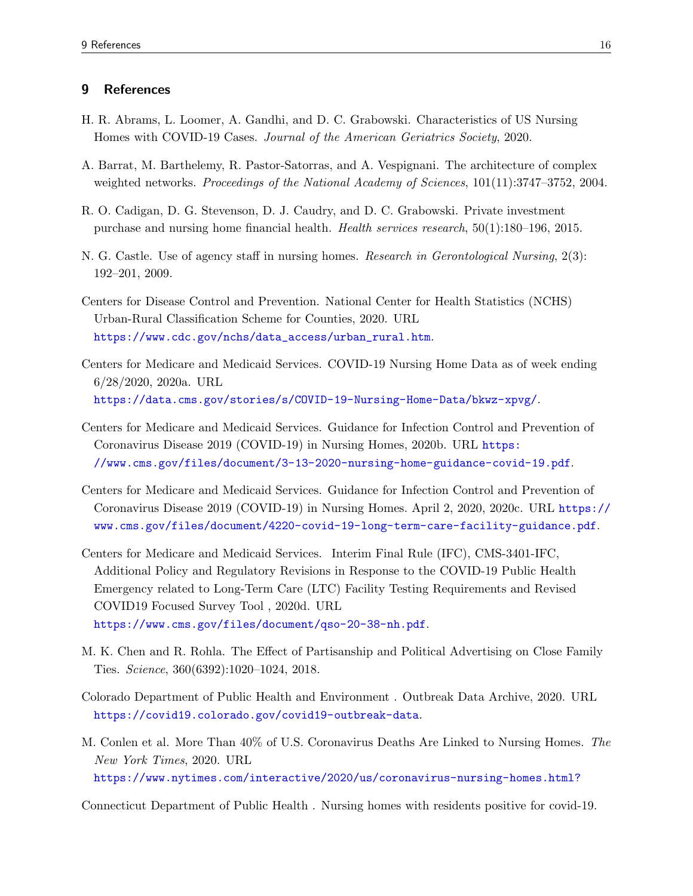## 9 References

- <span id="page-16-5"></span>H. R. Abrams, L. Loomer, A. Gandhi, and D. C. Grabowski. Characteristics of US Nursing Homes with COVID-19 Cases. Journal of the American Geriatrics Society, 2020.
- <span id="page-16-9"></span>A. Barrat, M. Barthelemy, R. Pastor-Satorras, and A. Vespignani. The architecture of complex weighted networks. Proceedings of the National Academy of Sciences,  $101(11):3747-3752$ ,  $2004$ .
- <span id="page-16-7"></span>R. O. Cadigan, D. G. Stevenson, D. J. Caudry, and D. C. Grabowski. Private investment purchase and nursing home financial health. Health services research, 50(1):180–196, 2015.
- <span id="page-16-6"></span>N. G. Castle. Use of agency staff in nursing homes. Research in Gerontological Nursing, 2(3): 192–201, 2009.
- <span id="page-16-10"></span>Centers for Disease Control and Prevention. National Center for Health Statistics (NCHS) Urban-Rural Classification Scheme for Counties, 2020. URL [https://www.cdc.gov/nchs/data\\_access/urban\\_rural.htm](https://www.cdc.gov/nchs/data_access/urban_rural.htm).
- <span id="page-16-1"></span>Centers for Medicare and Medicaid Services. COVID-19 Nursing Home Data as of week ending 6/28/2020, 2020a. URL <https://data.cms.gov/stories/s/COVID-19-Nursing-Home-Data/bkwz-xpvg/>.
- <span id="page-16-2"></span>Centers for Medicare and Medicaid Services. Guidance for Infection Control and Prevention of Coronavirus Disease 2019 (COVID-19) in Nursing Homes, 2020b. URL [https:](https://www.cms.gov/files/document/3-13-2020-nursing-home-guidance-covid-19.pdf) [//www.cms.gov/files/document/3-13-2020-nursing-home-guidance-covid-19.pdf](https://www.cms.gov/files/document/3-13-2020-nursing-home-guidance-covid-19.pdf).
- <span id="page-16-3"></span>Centers for Medicare and Medicaid Services. Guidance for Infection Control and Prevention of Coronavirus Disease 2019 (COVID-19) in Nursing Homes. April 2, 2020, 2020c. URL [https://](https://www.cms.gov/files/document/4220-covid-19-long-term-care-facility-guidance.pdf) [www.cms.gov/files/document/4220-covid-19-long-term-care-facility-guidance.pdf](https://www.cms.gov/files/document/4220-covid-19-long-term-care-facility-guidance.pdf).
- <span id="page-16-4"></span>Centers for Medicare and Medicaid Services. Interim Final Rule (IFC), CMS-3401-IFC, Additional Policy and Regulatory Revisions in Response to the COVID-19 Public Health Emergency related to Long-Term Care (LTC) Facility Testing Requirements and Revised COVID19 Focused Survey Tool , 2020d. URL <https://www.cms.gov/files/document/qso-20-38-nh.pdf>.
- <span id="page-16-8"></span>M. K. Chen and R. Rohla. The Effect of Partisanship and Political Advertising on Close Family Ties. Science, 360(6392):1020–1024, 2018.
- <span id="page-16-12"></span>Colorado Department of Public Health and Environment . Outbreak Data Archive, 2020. URL <https://covid19.colorado.gov/covid19-outbreak-data>.
- <span id="page-16-0"></span>M. Conlen et al. More Than 40% of U.S. Coronavirus Deaths Are Linked to Nursing Homes. The New York Times, 2020. URL <https://www.nytimes.com/interactive/2020/us/coronavirus-nursing-homes.html?>

<span id="page-16-11"></span>Connecticut Department of Public Health . Nursing homes with residents positive for covid-19.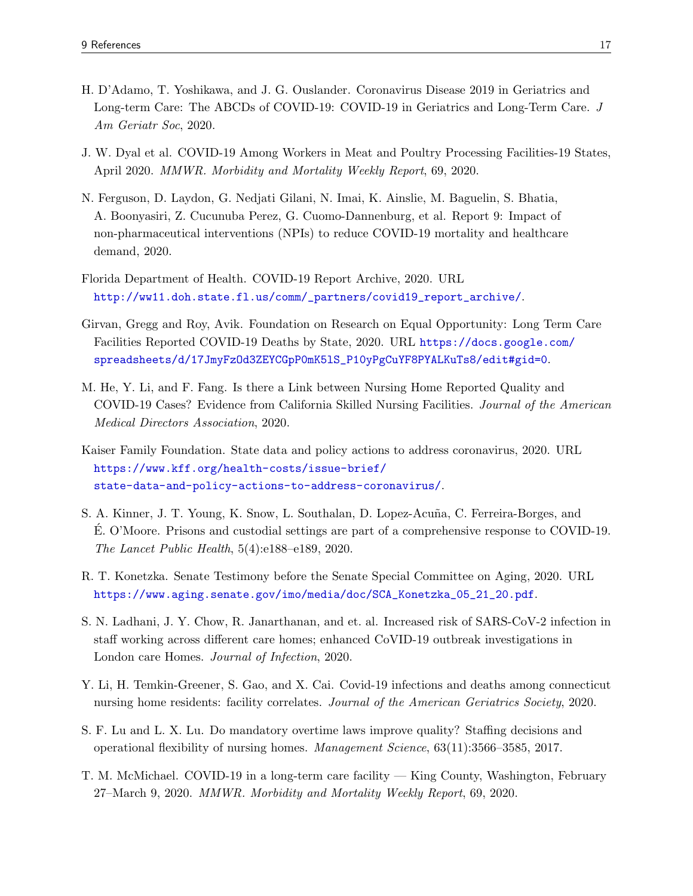- <span id="page-17-2"></span>H. D'Adamo, T. Yoshikawa, and J. G. Ouslander. Coronavirus Disease 2019 in Geriatrics and Long-term Care: The ABCDs of COVID-19: COVID-19 in Geriatrics and Long-Term Care. J Am Geriatr Soc, 2020.
- <span id="page-17-9"></span>J. W. Dyal et al. COVID-19 Among Workers in Meat and Poultry Processing Facilities-19 States, April 2020. MMWR. Morbidity and Mortality Weekly Report, 69, 2020.
- <span id="page-17-5"></span>N. Ferguson, D. Laydon, G. Nedjati Gilani, N. Imai, K. Ainslie, M. Baguelin, S. Bhatia, A. Boonyasiri, Z. Cucunuba Perez, G. Cuomo-Dannenburg, et al. Report 9: Impact of non-pharmaceutical interventions (NPIs) to reduce COVID-19 mortality and healthcare demand, 2020.
- <span id="page-17-12"></span>Florida Department of Health. COVID-19 Report Archive, 2020. URL [http://ww11.doh.state.fl.us/comm/\\_partners/covid19\\_report\\_archive/](http://ww11.doh.state.fl.us/comm/_partners/covid19_report_archive/).
- <span id="page-17-1"></span>Girvan, Gregg and Roy, Avik. Foundation on Research on Equal Opportunity: Long Term Care Facilities Reported COVID-19 Deaths by State, 2020. URL [https://docs.google.com/](https://docs.google.com/spreadsheets/d/17JmyFzOd3ZEYCGpP0mK5lS_P10yPgCuYF8PYALKuTs8/edit#gid=0) [spreadsheets/d/17JmyFzOd3ZEYCGpP0mK5lS\\_P10yPgCuYF8PYALKuTs8/edit#gid=0](https://docs.google.com/spreadsheets/d/17JmyFzOd3ZEYCGpP0mK5lS_P10yPgCuYF8PYALKuTs8/edit#gid=0).
- <span id="page-17-6"></span>M. He, Y. Li, and F. Fang. Is there a Link between Nursing Home Reported Quality and COVID-19 Cases? Evidence from California Skilled Nursing Facilities. Journal of the American Medical Directors Association, 2020.
- <span id="page-17-0"></span>Kaiser Family Foundation. State data and policy actions to address coronavirus, 2020. URL [https://www.kff.org/health-costs/issue-brief/](https://www.kff.org/health-costs/issue-brief/state-data-and-policy-actions-to-address-coronavirus/) [state-data-and-policy-actions-to-address-coronavirus/](https://www.kff.org/health-costs/issue-brief/state-data-and-policy-actions-to-address-coronavirus/).
- <span id="page-17-10"></span>S. A. Kinner, J. T. Young, K. Snow, L. Southalan, D. Lopez-Acuña, C. Ferreira-Borges, and E. O'Moore. Prisons and custodial settings are part of a comprehensive response to COVID-19. ´ The Lancet Public Health, 5(4):e188–e189, 2020.
- <span id="page-17-4"></span>R. T. Konetzka. Senate Testimony before the Senate Special Committee on Aging, 2020. URL [https://www.aging.senate.gov/imo/media/doc/SCA\\_Konetzka\\_05\\_21\\_20.pdf](https://www.aging.senate.gov/imo/media/doc/SCA_Konetzka_05_21_20.pdf).
- <span id="page-17-8"></span>S. N. Ladhani, J. Y. Chow, R. Janarthanan, and et. al. Increased risk of SARS-CoV-2 infection in staff working across different care homes; enhanced CoVID-19 outbreak investigations in London care Homes. Journal of Infection, 2020.
- <span id="page-17-7"></span>Y. Li, H. Temkin-Greener, S. Gao, and X. Cai. Covid-19 infections and deaths among connecticut nursing home residents: facility correlates. Journal of the American Geriatrics Society, 2020.
- <span id="page-17-11"></span>S. F. Lu and L. X. Lu. Do mandatory overtime laws improve quality? Staffing decisions and operational flexibility of nursing homes. Management Science, 63(11):3566–3585, 2017.
- <span id="page-17-3"></span>T. M. McMichael. COVID-19 in a long-term care facility — King County, Washington, February 27–March 9, 2020. MMWR. Morbidity and Mortality Weekly Report, 69, 2020.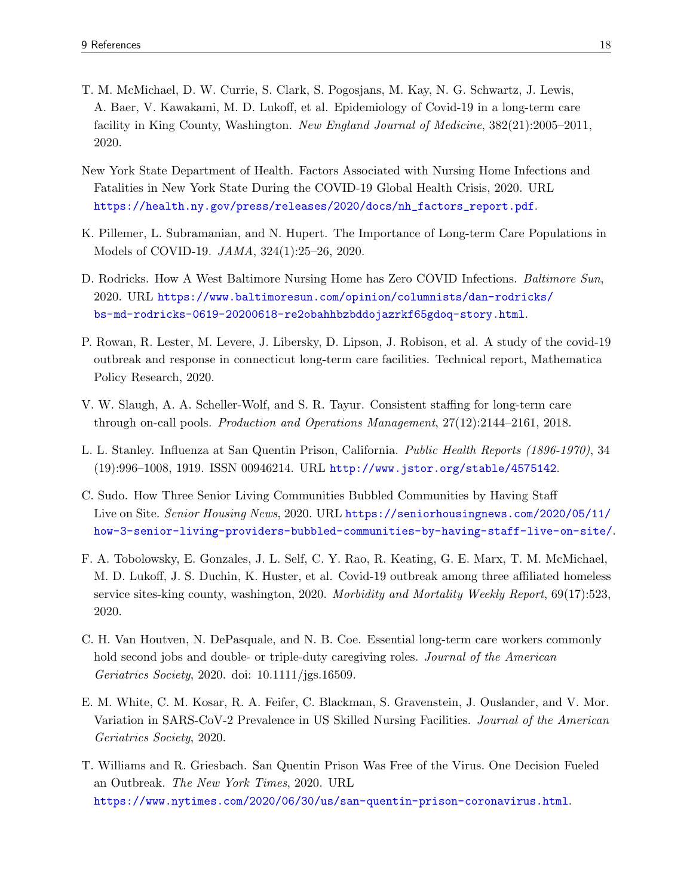- <span id="page-18-0"></span>T. M. McMichael, D. W. Currie, S. Clark, S. Pogosjans, M. Kay, N. G. Schwartz, J. Lewis, A. Baer, V. Kawakami, M. D. Lukoff, et al. Epidemiology of Covid-19 in a long-term care facility in King County, Washington. New England Journal of Medicine, 382(21):2005–2011, 2020.
- <span id="page-18-7"></span>New York State Department of Health. Factors Associated with Nursing Home Infections and Fatalities in New York State During the COVID-19 Global Health Crisis, 2020. URL [https://health.ny.gov/press/releases/2020/docs/nh\\_factors\\_report.pdf](https://health.ny.gov/press/releases/2020/docs/nh_factors_report.pdf).
- <span id="page-18-2"></span>K. Pillemer, L. Subramanian, and N. Hupert. The Importance of Long-term Care Populations in Models of COVID-19. JAMA, 324(1):25–26, 2020.
- <span id="page-18-11"></span>D. Rodricks. How A West Baltimore Nursing Home has Zero COVID Infections. Baltimore Sun, 2020. URL [https://www.baltimoresun.com/opinion/columnists/dan-rodricks/](https://www.baltimoresun.com/opinion/columnists/dan-rodricks/bs-md-rodricks-0619-20200618-re2obahhbzbddojazrkf65gdoq-story.html) [bs-md-rodricks-0619-20200618-re2obahhbzbddojazrkf65gdoq-story.html](https://www.baltimoresun.com/opinion/columnists/dan-rodricks/bs-md-rodricks-0619-20200618-re2obahhbzbddojazrkf65gdoq-story.html).
- <span id="page-18-3"></span>P. Rowan, R. Lester, M. Levere, J. Libersky, D. Lipson, J. Robison, et al. A study of the covid-19 outbreak and response in connecticut long-term care facilities. Technical report, Mathematica Policy Research, 2020.
- <span id="page-18-8"></span>V. W. Slaugh, A. A. Scheller-Wolf, and S. R. Tayur. Consistent staffing for long-term care through on-call pools. Production and Operations Management, 27(12):2144–2161, 2018.
- <span id="page-18-6"></span>L. L. Stanley. Influenza at San Quentin Prison, California. Public Health Reports (1896-1970), 34 (19):996–1008, 1919. ISSN 00946214. URL <http://www.jstor.org/stable/4575142>.
- <span id="page-18-10"></span>C. Sudo. How Three Senior Living Communities Bubbled Communities by Having Staff Live on Site. Senior Housing News, 2020. URL [https://seniorhousingnews.com/2020/05/11/](https://seniorhousingnews.com/2020/05/11/how-3-senior-living-providers-bubbled-communities-by-having-staff-live-on-site/) [how-3-senior-living-providers-bubbled-communities-by-having-staff-live-on-site/](https://seniorhousingnews.com/2020/05/11/how-3-senior-living-providers-bubbled-communities-by-having-staff-live-on-site/).
- <span id="page-18-4"></span>F. A. Tobolowsky, E. Gonzales, J. L. Self, C. Y. Rao, R. Keating, G. E. Marx, T. M. McMichael, M. D. Lukoff, J. S. Duchin, K. Huster, et al. Covid-19 outbreak among three affiliated homeless service sites-king county, washington, 2020. Morbidity and Mortality Weekly Report, 69(17):523, 2020.
- <span id="page-18-9"></span>C. H. Van Houtven, N. DePasquale, and N. B. Coe. Essential long-term care workers commonly hold second jobs and double- or triple-duty caregiving roles. Journal of the American Geriatrics Society, 2020. doi: 10.1111/jgs.16509.
- <span id="page-18-1"></span>E. M. White, C. M. Kosar, R. A. Feifer, C. Blackman, S. Gravenstein, J. Ouslander, and V. Mor. Variation in SARS-CoV-2 Prevalence in US Skilled Nursing Facilities. Journal of the American Geriatrics Society, 2020.
- <span id="page-18-5"></span>T. Williams and R. Griesbach. San Quentin Prison Was Free of the Virus. One Decision Fueled an Outbreak. The New York Times, 2020. URL <https://www.nytimes.com/2020/06/30/us/san-quentin-prison-coronavirus.html>.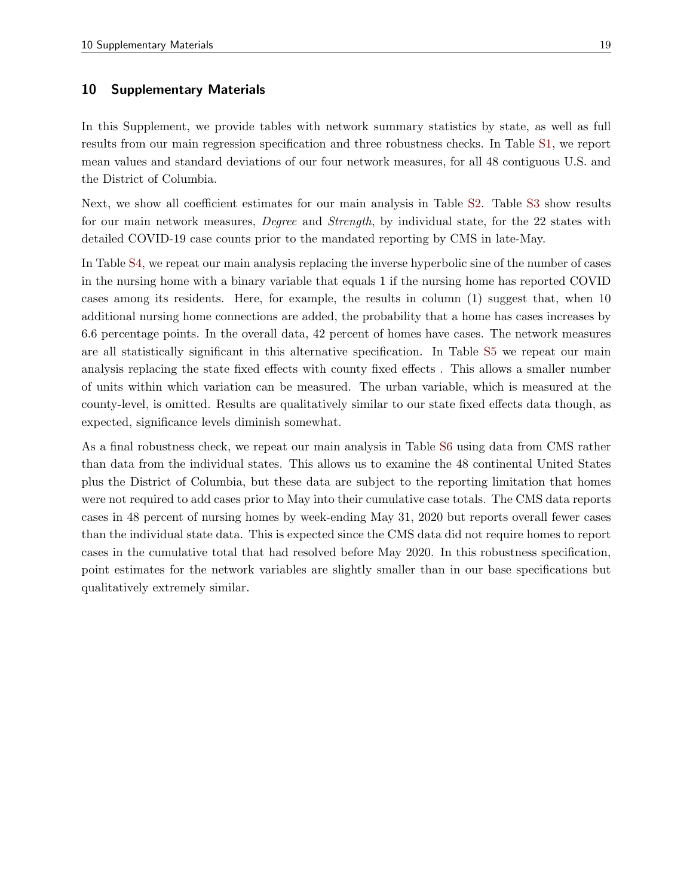#### 10 Supplementary Materials

In this Supplement, we provide tables with network summary statistics by state, as well as full results from our main regression specification and three robustness checks. In Table [S1,](#page-20-0) we report mean values and standard deviations of our four network measures, for all 48 contiguous U.S. and the District of Columbia.

Next, we show all coefficient estimates for our main analysis in Table [S2.](#page-21-0) Table [S3](#page-22-0) show results for our main network measures, *Degree* and *Strength*, by individual state, for the 22 states with detailed COVID-19 case counts prior to the mandated reporting by CMS in late-May.

In Table [S4,](#page-24-0) we repeat our main analysis replacing the inverse hyperbolic sine of the number of cases in the nursing home with a binary variable that equals 1 if the nursing home has reported COVID cases among its residents. Here, for example, the results in column (1) suggest that, when 10 additional nursing home connections are added, the probability that a home has cases increases by 6.6 percentage points. In the overall data, 42 percent of homes have cases. The network measures are all statistically significant in this alternative specification. In Table [S5](#page-25-0) we repeat our main analysis replacing the state fixed effects with county fixed effects . This allows a smaller number of units within which variation can be measured. The urban variable, which is measured at the county-level, is omitted. Results are qualitatively similar to our state fixed effects data though, as expected, significance levels diminish somewhat.

As a final robustness check, we repeat our main analysis in Table [S6](#page-26-0) using data from CMS rather than data from the individual states. This allows us to examine the 48 continental United States plus the District of Columbia, but these data are subject to the reporting limitation that homes were not required to add cases prior to May into their cumulative case totals. The CMS data reports cases in 48 percent of nursing homes by week-ending May 31, 2020 but reports overall fewer cases than the individual state data. This is expected since the CMS data did not require homes to report cases in the cumulative total that had resolved before May 2020. In this robustness specification, point estimates for the network variables are slightly smaller than in our base specifications but qualitatively extremely similar.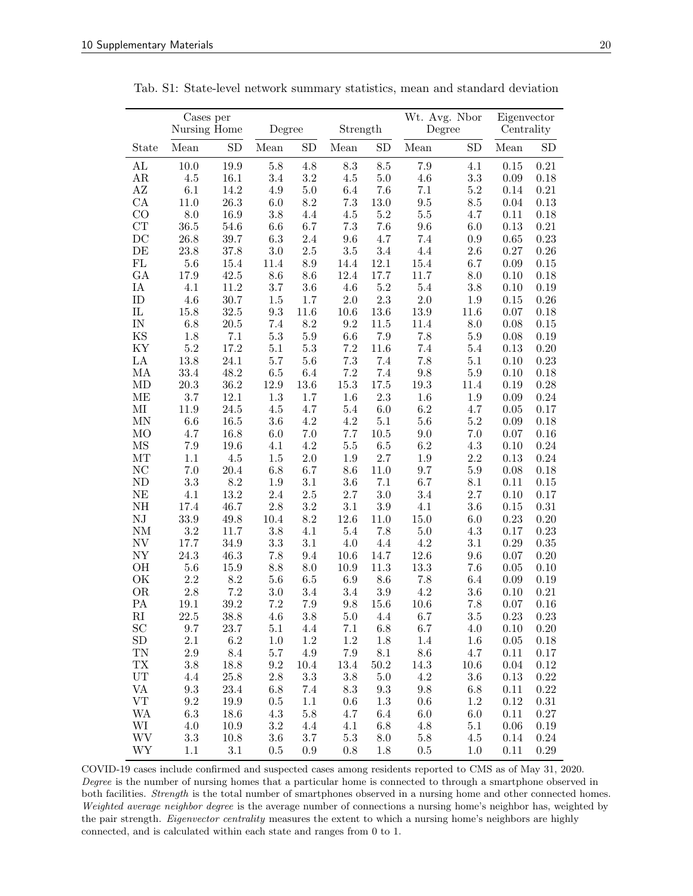|                          | Cases per<br>Nursing Home |              | Degree      |                 | Strength   |             | Wt. Avg. Nbor<br>Degree |                 | Eigenvector<br>Centrality |              |
|--------------------------|---------------------------|--------------|-------------|-----------------|------------|-------------|-------------------------|-----------------|---------------------------|--------------|
| State                    | Mean                      | SD           | Mean        | <b>SD</b>       | Mean       | ${\rm SD}$  | Mean                    | SD              | Mean                      | SD           |
| AL                       | 10.0                      | 19.9         | 5.8         | 4.8             | 8.3        | 8.5         | 7.9                     | 4.1             | 0.15                      | 0.21         |
| AR                       | $4.5\,$                   | 16.1         | 3.4         | 3.2             | $4.5\,$    | $5.0\,$     | 4.6                     | 3.3             | 0.09                      | 0.18         |
| AZ                       | 6.1                       | 14.2         | 4.9         | $5.0\,$         | 6.4        | 7.6         | 7.1                     | $5.2\,$         | 0.14                      | $\rm 0.21$   |
| CA                       | 11.0                      | 26.3         | 6.0         | $8.2\,$         | 7.3        | 13.0        | $\ \, 9.5$              | $8.5\,$         | 0.04                      | 0.13         |
| CO                       | 8.0                       | 16.9         | 3.8         | 4.4             | 4.5        | 5.2         | $5.5\,$                 | 4.7             | 0.11                      | 0.18         |
| CT                       | 36.5                      | 54.6         | 6.6         | 6.7             | $7.3\,$    | 7.6         | 9.6                     | $6.0\,$         | 0.13                      | $\rm 0.21$   |
| DC                       | 26.8                      | 39.7         | 6.3         | 2.4             | 9.6        | 4.7         | 7.4                     | 0.9             | 0.65                      | 0.23         |
| DE                       | 23.8                      | 37.8         | 3.0         | $2.5\,$         | 3.5        | 3.4         | 4.4                     | 2.6             | 0.27                      | 0.26         |
| FL                       | 5.6                       | 15.4         | 11.4        | $\!\!\!\!\!8.9$ | 14.4       | 12.1        | 15.4                    | 6.7             | 0.09                      | 0.15         |
| GA                       | 17.9                      | 42.5         | 8.6         | 8.6             | 12.4       | 17.7        | 11.7                    | 8.0             | 0.10                      | 0.18         |
| IA                       | 4.1                       | 11.2         | 3.7         | 3.6             | 4.6        | $5.2\,$     | $5.4\,$                 | 3.8             | 0.10                      | 0.19         |
| $\mathbf{ID}$            | 4.6                       | 30.7         | 1.5         | 1.7             | 2.0        | 2.3         | 2.0                     | 1.9             | 0.15                      | 0.26         |
| ${\rm IL}$               | 15.8                      | 32.5         | 9.3         | 11.6            | 10.6       | 13.6        | 13.9                    | 11.6            | 0.07                      | 0.18         |
| IN                       | 6.8                       | 20.5         | 7.4         | $8.2\,$         | 9.2        | 11.5        | 11.4                    | 8.0             | 0.08                      | 0.15         |
| KS                       | 1.8                       | 7.1          | 5.3         | $5.9\,$         | 6.6        | $7.9\,$     | 7.8                     | 5.9             | 0.08                      | 0.19         |
| KY                       | 5.2                       | 17.2         | 5.1         | $5.3\,$         | 7.2        | 11.6        | 7.4                     | 5.4             | 0.13                      | 0.20<br>0.23 |
| LA                       | 13.8                      | 24.1         | 5.7         | $5.6\,$         | 7.3<br>7.2 | 7.4         | 7.8                     | 5.1             | 0.10                      |              |
| MA<br>MD                 | 33.4<br>20.3              | 48.2<br>36.2 | 6.5<br>12.9 | 6.4<br>13.6     | 15.3       | 7.4<br>17.5 | 9.8<br>$19.3\,$         | $5.9\,$<br>11.4 | 0.10<br>0.19              | 0.18<br>0.28 |
| MЕ                       | 3.7                       | 12.1         | 1.3         | 1.7             | 1.6        | $2.3\,$     | 1.6                     | 1.9             | 0.09                      | 0.24         |
| $\rm MI$                 | 11.9                      | 24.5         | 4.5         | 4.7             | 5.4        | $6.0\,$     | 6.2                     | 4.7             | 0.05                      | 0.17         |
| MN                       | 6.6                       | 16.5         | $3.6\,$     | $4.2\,$         | 4.2        | $5.1\,$     | 5.6                     | $5.2\,$         | 0.09                      | 0.18         |
| M <sub>O</sub>           | 4.7                       | 16.8         | 6.0         | 7.0             | 7.7        | 10.5        | 9.0                     | 7.0             | 0.07                      | 0.16         |
| MS                       | 7.9                       | 19.6         | 4.1         | 4.2             | 5.5        | 6.5         | 6.2                     | 4.3             | 0.10                      | 0.24         |
| MТ                       | 1.1                       | 4.5          | $1.5\,$     | $2.0\,$         | 1.9        | 2.7         | 1.9                     | $2.2\,$         | 0.13                      | 0.24         |
| NC                       | 7.0                       | 20.4         | 6.8         | 6.7             | 8.6        | 11.0        | 9.7                     | $5.9\,$         | 0.08                      | 0.18         |
| ${\rm ND}$               | 3.3                       | 8.2          | 1.9         | 3.1             | 3.6        | 7.1         | 6.7                     | $8.1\,$         | 0.11                      | 0.15         |
| NE                       | 4.1                       | 13.2         | 2.4         | 2.5             | 2.7        | 3.0         | 3.4                     | 2.7             | 0.10                      | 0.17         |
| NΗ                       | 17.4                      | 46.7         | $2.8\,$     | 3.2             | 3.1        | 3.9         | 4.1                     | $3.6\,$         | 0.15                      | 0.31         |
| ${\rm NJ}$               | 33.9                      | 49.8         | 10.4        | 8.2             | 12.6       | 11.0        | 15.0                    | 6.0             | 0.23                      | 0.20         |
| <b>NM</b>                | 3.2                       | 11.7         | 3.8         | 4.1             | 5.4        | 7.8         | 5.0                     | 4.3             | 0.17                      | 0.23         |
| NV                       | 17.7                      | 34.9         | $3.3\,$     | 3.1             | 4.0        | 4.4         | 4.2                     | 3.1             | 0.29                      | 0.35         |
| NY                       | 24.3                      | 46.3         | 7.8         | 9.4             | 10.6       | 14.7        | 12.6                    | 9.6             | 0.07                      | 0.20         |
| OН                       | 5.6                       | 15.9         | $8.8\,$     | 8.0             | 10.9       | 11.3        | 13.3                    | 7.6             | 0.05                      | 0.10         |
| ОK                       | 2.2                       | 8.2          | 5.6         | $6.5\,$         | 6.9        | 8.6         | 7.8                     | 6.4             | 0.09                      | 0.19         |
| <b>OR</b>                | 2.8                       | 7.2          | 3.0         | 3.4             | 3.4        | 3.9         | 4.2                     | 3.6             | 0.10                      | 0.21         |
| PA                       | 19.1                      | 39.2         | $7.2\,$     | $7.9\,$         | 9.8        | 15.6        | 10.6                    | 7.8             | 0.07                      | 0.16         |
| $\rm RI$                 | $22.5\,$                  | 38.8         | 4.6         | 3.8             | 5.0        | 4.4         | 6.7                     | $3.5\,$         | $0.23\,$                  | 0.23         |
| SC                       | 9.7                       | 23.7         | 5.1         | 4.4             | 7.1        | $6.8\,$     | 6.7                     | 4.0             | 0.10                      | 0.20         |
| ${\rm SD}$               | $2.1\,$                   | $6.2\,$      | 1.0         | $1.2\,$         | $1.2\,$    | 1.8         | 1.4                     | 1.6             | 0.05                      | 0.18         |
| TN                       | $2.9\,$                   | 8.4          | $5.7\,$     | $4.9\,$         | $7.9\,$    | 8.1         | 8.6                     | 4.7             | 0.11                      | 0.17         |
| TX                       | 3.8                       | 18.8         | 9.2         | 10.4            | 13.4       | 50.2        | 14.3                    | 10.6            | 0.04                      | 0.12         |
| UT                       | 4.4                       | 25.8         | $2.8\,$     | $\!3.3$         | $3.8\,$    | $5.0\,$     | $4.2\,$                 | $3.6\,$         | 0.13                      | $0.22\,$     |
| VA                       | 9.3                       | 23.4         | 6.8         | $7.4\,$         | 8.3        | $9.3\,$     | $9.8\,$                 | 6.8             | 0.11                      | $0.22\,$     |
| ${\rm VT}$               | $\ \, 9.2$                | 19.9         | $0.5\,$     | $1.1\,$         | 0.6        | 1.3         | 0.6                     | $1.2\,$         | 0.12                      | 0.31         |
| <b>WA</b>                | $6.3\,$                   | 18.6         | $4.3\,$     | $5.8\,$         | 4.7        | 6.4         | $6.0\,$                 | 6.0             | 0.11                      | 0.27         |
| WI                       | $4.0\,$                   | $10.9\,$     | $\!3.2\!$   | 4.4             | 4.1        | $6.8\,$     | 4.8                     | $5.1\,$         | 0.06                      | 0.19         |
| <b>WV</b>                | $\!3.3$                   | 10.8         | 3.6         | 3.7             | $5.3\,$    | $8.0\,$     | $5.8\,$                 | 4.5             | 0.14                      | $0.24\,$     |
| $\ensuremath{\text{WY}}$ | 1.1                       | 3.1          | 0.5         | 0.9             | 0.8        | 1.8         | $0.5\,$                 | 1.0             | 0.11                      | 0.29         |

<span id="page-20-0"></span>Tab. S1: State-level network summary statistics, mean and standard deviation

COVID-19 cases include confirmed and suspected cases among residents reported to CMS as of May 31, 2020. Degree is the number of nursing homes that a particular home is connected to through a smartphone observed in both facilities. Strength is the total number of smartphones observed in a nursing home and other connected homes. Weighted average neighbor degree is the average number of connections a nursing home's neighbor has, weighted by the pair strength. *Eigenvector centrality* measures the extent to which a nursing home's neighbors are highly connected, and is calculated within each state and ranges from 0 to 1.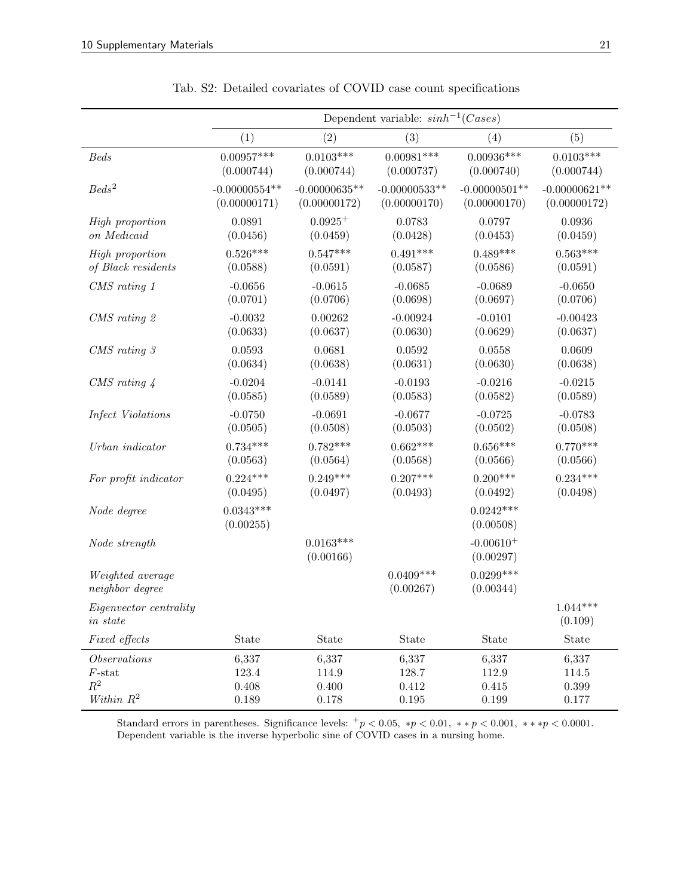<span id="page-21-0"></span>

|                                           |                          |                          | Dependent variable: $sinh^{-1}(Cases)$ |                          |                       |
|-------------------------------------------|--------------------------|--------------------------|----------------------------------------|--------------------------|-----------------------|
|                                           | (1)                      | (2)                      | (3)                                    | $\left(4\right)$         | (5)                   |
| Beds                                      | $0.00957***$             | $0.0103***$              | $0.00981***$                           | $0.00936***$             | $0.0103***$           |
|                                           | (0.000744)               | (0.000744)               | (0.000737)                             | (0.000740)               | (0.000744)            |
| $Beds^2$                                  | $-0.00000554**$          | $-0.00000635**$          | $-0.00000533**$                        | $-0.00000501**$          | $-0.00000621**$       |
|                                           | (0.00000171)             | (0.00000172)             | (0.00000170)                           | (0.00000170)             | (0.00000172)          |
| High proportion                           | 0.0891                   | $0.0925+$                | 0.0783                                 | 0.0797                   | 0.0936                |
| on Medicaid                               | (0.0456)                 | (0.0459)                 | (0.0428)                               | (0.0453)                 | (0.0459)              |
| High proportion                           | $0.526***$               | $0.547***$               | $0.491***$                             | $0.489***$               | $0.563***$            |
| of Black residents                        | (0.0588)                 | (0.0591)                 | (0.0587)                               | (0.0586)                 | (0.0591)              |
| CMS rating 1                              | $-0.0656$                | $-0.0615$                | $-0.0685$                              | $-0.0689$                | $-0.0650$             |
|                                           | (0.0701)                 | (0.0706)                 | (0.0698)                               | (0.0697)                 | (0.0706)              |
| CMS rating 2                              | $-0.0032$                | 0.00262                  | $-0.00924$                             | $-0.0101$                | $-0.00423$            |
|                                           | (0.0633)                 | (0.0637)                 | (0.0630)                               | (0.0629)                 | (0.0637)              |
| $CMS \ rating \ 3$                        | 0.0593                   | 0.0681                   | 0.0592                                 | 0.0558                   | 0.0609                |
|                                           | (0.0634)                 | (0.0638)                 | (0.0631)                               | (0.0630)                 | (0.0638)              |
| $CMS \; rating \; 4$                      | $-0.0204$                | $-0.0141$                | $-0.0193$                              | $-0.0216$                | $-0.0215$             |
|                                           | (0.0585)                 | (0.0589)                 | (0.0583)                               | (0.0582)                 | (0.0589)              |
| Infect Violations                         | $-0.0750$                | $-0.0691$                | $-0.0677$                              | $-0.0725$                | $-0.0783$             |
|                                           | (0.0505)                 | (0.0508)                 | (0.0503)                               | (0.0502)                 | (0.0508)              |
| Urban indicator                           | $0.734***$               | $0.782***$               | $0.662***$                             | $0.656***$               | $0.770***$            |
|                                           | (0.0563)                 | (0.0564)                 | (0.0568)                               | (0.0566)                 | (0.0566)              |
| For profit indicator                      | $0.224***$               | $0.249***$               | $0.207***$                             | $0.200***$               | $0.234***$            |
|                                           | (0.0495)                 | (0.0497)                 | (0.0493)                               | (0.0492)                 | (0.0498)              |
| Node degree                               | $0.0343***$<br>(0.00255) |                          |                                        | $0.0242***$<br>(0.00508) |                       |
| Node strength                             |                          | $0.0163***$<br>(0.00166) |                                        | $-0.00610+$<br>(0.00297) |                       |
| Weighted average<br>neighbor degree       |                          |                          | $0.0409***$<br>(0.00267)               | $0.0299***$<br>(0.00344) |                       |
| Eigenvector centrality<br>$\it{in~state}$ |                          |                          |                                        |                          | $1.044***$<br>(0.109) |
| Fixed effects                             | State                    | State                    | State                                  | State                    | State                 |
| Observations                              | 6,337                    | 6,337                    | 6,337                                  | 6,337                    | 6,337                 |
| $F\text{-stat}$                           | 123.4                    | 114.9                    | 128.7                                  | 112.9                    | 114.5                 |
| $\mathbb{R}^2$                            | 0.408                    | 0.400                    | $0.412\,$                              | 0.415                    | $0.399\,$             |
| Within $R^2$                              | 0.189                    | 0.178                    | $0.195\,$                              | 0.199                    | 0.177                 |

|  |  |  |  |  |  |  |  |  | Tab. S2: Detailed covariates of COVID case count specifications |
|--|--|--|--|--|--|--|--|--|-----------------------------------------------------------------|
|--|--|--|--|--|--|--|--|--|-----------------------------------------------------------------|

Standard errors in parentheses. Significance levels:  $+p < 0.05$ ,  $*p < 0.01$ ,  $** p < 0.001$ ,  $** p < 0.0001$ . Dependent variable is the inverse hyperbolic sine of COVID cases in a nursing home.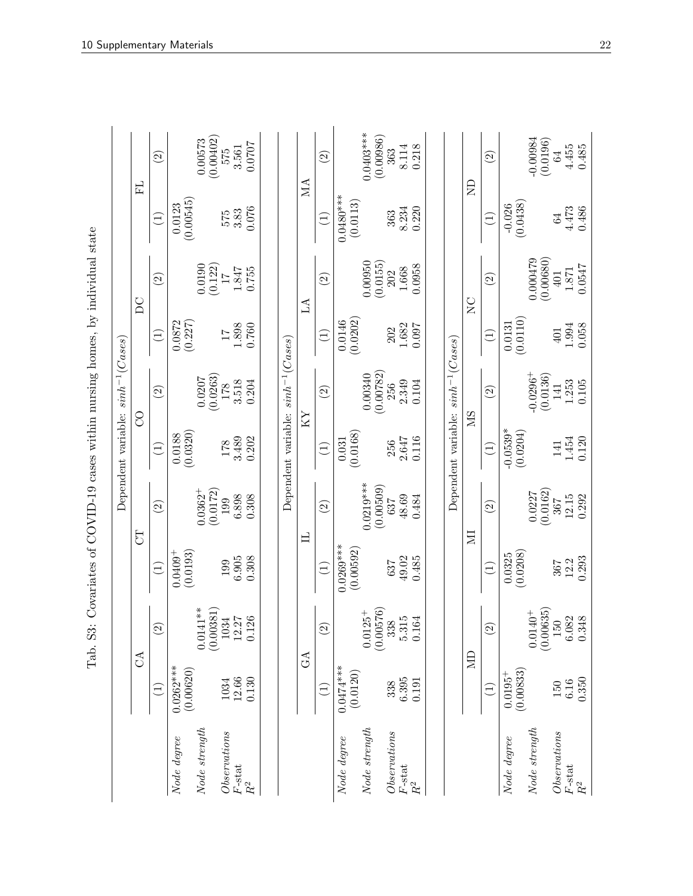<span id="page-22-0"></span>

| l                                                                                                                                                                                                                                 |
|-----------------------------------------------------------------------------------------------------------------------------------------------------------------------------------------------------------------------------------|
| 1990 – Carlo Estato Carlo En Contro Contro de Santas Carlo Carlo Carlo Carlo Carlo Carlo Carlo Carlo Carlo Carlo Carlo Carlo Carlo Carlo Carlo Carlo Carlo Carlo Carlo Carlo Carlo Carlo Carlo Carlo Carlo Carlo Carlo Carlo<br>Ĩ |
|                                                                                                                                                                                                                                   |
| ;                                                                                                                                                                                                                                 |
| ハードリーン<br>١<br>i                                                                                                                                                                                                                  |
|                                                                                                                                                                                                                                   |
|                                                                                                                                                                                                                                   |
|                                                                                                                                                                                                                                   |
| $\sim$ $\sim$ $\sim$ $\sim$ $\sim$ $\sim$<br>くっ ししょくくく                                                                                                                                                                            |
|                                                                                                                                                                                                                                   |
| )<br> <br> <br> <br>$\frac{1}{2}$<br>$\ddot{\phantom{0}}$                                                                                                                                                                         |
| ;<br>;<br>;                                                                                                                                                                                                                       |
| ہے<br>E<br>$\frac{1}{3}$                                                                                                                                                                                                          |

|                                                                                                                                                                                                                                                                                                                                                                                                                                                                                                                                                                                                          |                          |                                                                                   |                            |                          |                        | Dependent variable: $sinh^{-1}(Case s)$ |                       |                                              |                                       |                          |
|----------------------------------------------------------------------------------------------------------------------------------------------------------------------------------------------------------------------------------------------------------------------------------------------------------------------------------------------------------------------------------------------------------------------------------------------------------------------------------------------------------------------------------------------------------------------------------------------------------|--------------------------|-----------------------------------------------------------------------------------|----------------------------|--------------------------|------------------------|-----------------------------------------|-----------------------|----------------------------------------------|---------------------------------------|--------------------------|
|                                                                                                                                                                                                                                                                                                                                                                                                                                                                                                                                                                                                          |                          | $\mathcal{L}$                                                                     |                            | <b>FD</b>                |                        | 8                                       |                       | $\overline{D}C$                              |                                       | H                        |
|                                                                                                                                                                                                                                                                                                                                                                                                                                                                                                                                                                                                          | $\widehat{\Xi}$          | $\widehat{\mathcal{L}}$                                                           | $\left(1\right)$           | $\odot$                  | $\left(1\right)$       | $\widehat{\Omega}$                      | $\overline{1}$        | $\odot$                                      | $\left(1\right)$                      | $\odot$                  |
| Node degree                                                                                                                                                                                                                                                                                                                                                                                                                                                                                                                                                                                              | $0.0262***$<br>(0.00620) |                                                                                   | (0.0193)<br>$0.0409^{+}$   |                          | (0.0320)<br>0.0188     |                                         | 0.0872<br>(0.227)     |                                              | (0.00545)<br>0.0123                   |                          |
| Node strength                                                                                                                                                                                                                                                                                                                                                                                                                                                                                                                                                                                            |                          | $0.0141***$                                                                       |                            | $0.0362 +$<br>(0.0172)   |                        | (0.0263)<br>0.0207                      |                       | 0.0190                                       |                                       | (0.00402)<br>0.00573     |
| Observations                                                                                                                                                                                                                                                                                                                                                                                                                                                                                                                                                                                             | 1034                     |                                                                                   | 199                        | 199                      | $178\,$                | 178                                     | $\overline{17}$       | $\begin{array}{c} (0.122) \\ 17 \end{array}$ | 575                                   | 575                      |
| $F\operatorname{\!-stat}\nolimits$<br>$\ensuremath{R^2}$                                                                                                                                                                                                                                                                                                                                                                                                                                                                                                                                                 | 12.66<br>0.130           | $\begin{array}{c} (0.00381) \\ 1034 \\ 12.27 \end{array}$<br>26<br>$\overline{C}$ | 6.905<br>0.308             | 6.898<br>0.308           | 3.489<br>0.202         | 3.518<br>0.204                          | 1.898<br>0.760        | 1.847<br>0.755                               | 0.076<br>3.83                         | 0.0707<br>3.561          |
|                                                                                                                                                                                                                                                                                                                                                                                                                                                                                                                                                                                                          |                          |                                                                                   |                            |                          |                        |                                         |                       |                                              |                                       |                          |
|                                                                                                                                                                                                                                                                                                                                                                                                                                                                                                                                                                                                          |                          |                                                                                   |                            |                          |                        | Dependent variable: $sinh^{-1}(Case s)$ |                       |                                              |                                       |                          |
|                                                                                                                                                                                                                                                                                                                                                                                                                                                                                                                                                                                                          | $G\Lambda$               |                                                                                   |                            | 日                        |                        | ΚX                                      |                       | LA                                           |                                       | MA                       |
|                                                                                                                                                                                                                                                                                                                                                                                                                                                                                                                                                                                                          | $\Xi$                    | $\widehat{\mathcal{L}}$                                                           | $\bigoplus$                | $\widehat{c}$            | $\bigoplus$            | $\odot$                                 | $\bigoplus$           | $\widehat{c}$                                | $\left(1\right)$                      | $\widehat{c}$            |
| Node degree                                                                                                                                                                                                                                                                                                                                                                                                                                                                                                                                                                                              | $0.0474***$<br>(0.0120)  |                                                                                   | $0.0269***$<br>(0.00592)   |                          | (0.0168)<br>0.031      |                                         | (0.0202)<br>0.0146    |                                              | $0.0480***$<br>(0.0113)               |                          |
| Node strength                                                                                                                                                                                                                                                                                                                                                                                                                                                                                                                                                                                            |                          | $\begin{array}{c} 0.0125^{+} \\ (0.00576) \end{array}$                            |                            | $0.0219***$<br>(0.00509) |                        | (0.00782)<br>0.00340                    |                       | 0.00950<br>(0.0155)                          |                                       | $0.0403***$<br>(0.00986) |
| $\label{eq:os-entropy} Observations% \begin{equation} \left\Vert \rho_{\alpha}\right\Vert _{1}=c_{\alpha\beta}\left( \rho_{\alpha\beta}\right) \left\Vert \rho_{\alpha}\right\Vert _{1}=\left\Vert \rho_{\alpha}\right\Vert _{1}. \end{equation}$                                                                                                                                                                                                                                                                                                                                                        | 338                      | 338                                                                               | 637                        | 637                      | 256                    | 256                                     | 202                   | 202                                          | 363                                   | 363                      |
| $F\operatorname{\!-stat}\nolimits$<br>$R^2$                                                                                                                                                                                                                                                                                                                                                                                                                                                                                                                                                              | 6.395<br>0.191           | $5.315$<br>0.164                                                                  | 49.02<br>0.485             | 48.69<br>0.484           | 2.647<br>0.116         | 2.349<br>0.104                          | 1.682<br>0.097        | 0.0958<br>1.668                              | 8.234<br>0.220                        | 0.218<br>8.114           |
|                                                                                                                                                                                                                                                                                                                                                                                                                                                                                                                                                                                                          |                          |                                                                                   |                            |                          |                        |                                         |                       |                                              |                                       |                          |
|                                                                                                                                                                                                                                                                                                                                                                                                                                                                                                                                                                                                          |                          |                                                                                   |                            |                          |                        | Dependent variable: $sinh^{-1}(Case s)$ |                       |                                              |                                       |                          |
|                                                                                                                                                                                                                                                                                                                                                                                                                                                                                                                                                                                                          |                          | $\overline{\text{MD}}$                                                            |                            | Ξ                        |                        | NS                                      |                       | $\sum_{i=1}^{n}$                             |                                       | $\Xi$                    |
|                                                                                                                                                                                                                                                                                                                                                                                                                                                                                                                                                                                                          | $\widehat{\Xi}$          | $\widehat{\mathcal{L}}$                                                           | $\left(\frac{1}{2}\right)$ | $\widehat{\Omega}$       | $\bigoplus$            | $\widehat{\Omega}$                      | $\bigoplus$           | $\widehat{c}$                                | $\left( \overline{\mathbf{1}}\right)$ | $\widehat{c}$            |
| Node degree                                                                                                                                                                                                                                                                                                                                                                                                                                                                                                                                                                                              | (0.00833)<br>$0.0195 +$  |                                                                                   | (0.0208)<br>0.0325         |                          | $-0.0539*$<br>(0.0204) |                                         | (0.0110)<br>0.0131    |                                              | (0.0438)<br>$-0.026$                  |                          |
| Node strength                                                                                                                                                                                                                                                                                                                                                                                                                                                                                                                                                                                            |                          | $\begin{array}{c} 0.0140^{+} \\ (0.00635) \end{array}$                            |                            | (0.0162)<br>0.0227       |                        | $-0.0296 +$<br>(0.0136)                 |                       | 0.000479<br>(0.00680)                        |                                       | $-0.00984$<br>(0.0196)   |
| $\label{thm:obs-approx} Observations% \begin{equation} \left\Vert \rho_{\alpha}\right\Vert _{1}=2\left\Vert \rho_{\alpha}\right\Vert _{1}=2\left\Vert \rho_{\alpha}\right\Vert _{1}=2\left\Vert \rho_{\alpha}\right\Vert _{1}=2\left\Vert \rho_{\alpha}\right\Vert _{1}=2\left\Vert \rho_{\alpha}\right\Vert _{1}=2\left\Vert \rho_{\alpha}\right\Vert _{1}=2\left\Vert \rho_{\alpha}\right\Vert _{1}=2\left\Vert \rho_{\alpha}\right\Vert _{1}=2\left\Vert \rho_{\alpha}\right\Vert _{1}=2\left\Vert \rho_{\alpha}\right\Vert _{1}=2\left\$<br>$F\operatorname{\!-stat}\nolimits$<br>$\ensuremath{R^2}$ | 0.350<br>6.16<br>150     | $\begin{array}{c} 6.082 \\ 0.348 \end{array}$<br>150                              | 0.293<br>12.2<br>367       | 12.15<br>0.292<br>367    | 1.454<br>0.120<br>141  | 1.253<br>0.105<br>141                   | 0.058<br>1.994<br>401 | 0.0547<br>1.871<br>$401$                     | 4.473<br>0.486<br>64                  | 4.455<br>0.485<br>64     |
|                                                                                                                                                                                                                                                                                                                                                                                                                                                                                                                                                                                                          |                          |                                                                                   |                            |                          |                        |                                         |                       |                                              |                                       |                          |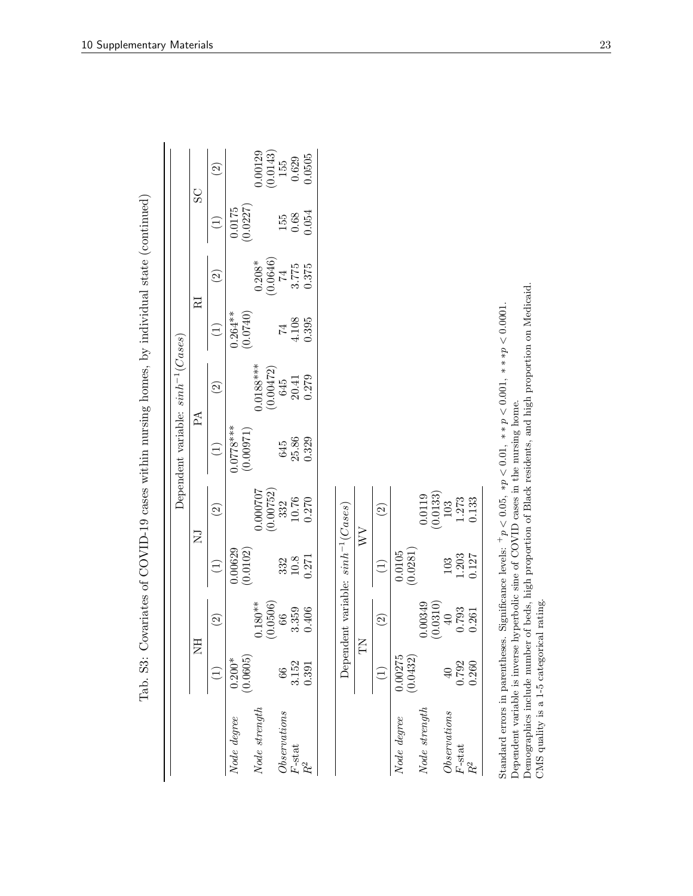| SC<br>(0.0227)<br>$0.0175\,$<br>0.054<br>$\begin{array}{c} 155 \\ 0.68 \end{array}$<br>$\widehat{\Xi}$<br>(0.0646)<br>$0.208*$<br>0.375<br>3.775<br>$\overline{14}$<br>$\widehat{c}$<br>RI<br>(0.0740)<br>$0.264***$<br>4.108<br>0.395<br>$\widehat{L}$<br>74<br>$0.0188***$<br>(0.00472)<br>0.279<br>$\begin{array}{c} 645 \\ 20.41 \end{array}$<br>$\widehat{\Omega}$<br>$P\Lambda$<br>$0.0778***$<br>(0.00971)<br>25.86<br>0.329<br>645<br>$\bigoplus$<br>(0.00752)<br>0.000707<br>$\left(0.0133\right)$ $103$<br>0.0119<br>10.76<br>0.270<br>1.273<br>332<br>Dependent variable: $sinh^{-1}(Cases)$<br>$\widehat{\Omega}$<br>$\widehat{\Omega}$<br>$\overline{N}$<br>$\overline{\mathsf{Z}}$<br>(0.0102)<br>(0.0281)<br>0.00629<br>$0.0105\,$<br>1.203<br>$10.8\,$<br>0.271<br>332<br>103<br>$\widehat{\Xi}$<br>$\widehat{\Xi}$<br>0.00349<br>(0.0506)<br>$0.180**$<br>(0.0310)<br>0.793<br>3.359<br>0.406<br>$\overline{40}$<br>66<br>$\widehat{\odot}$<br>$\widehat{\Omega}$<br>囯<br>$\sum$<br>z<br>0.00275<br>(0.0432)<br>(0.0605)<br>$0.200*$<br>3.152<br>0.792<br>0.391<br>$\overline{40}$<br>$\widehat{\Xi}$<br>66<br>$\widehat{\Xi}$<br>Node strength<br>Node strength<br>Observations<br>Observations<br>Node degree<br>Node degree<br>$F$ -stat<br>$F$ -stat<br>$\ensuremath{R^2}$ |       |       |       |       |       | Dependent variable: $sinh^{-1}(Cases)$ |  |                                                |
|-------------------------------------------------------------------------------------------------------------------------------------------------------------------------------------------------------------------------------------------------------------------------------------------------------------------------------------------------------------------------------------------------------------------------------------------------------------------------------------------------------------------------------------------------------------------------------------------------------------------------------------------------------------------------------------------------------------------------------------------------------------------------------------------------------------------------------------------------------------------------------------------------------------------------------------------------------------------------------------------------------------------------------------------------------------------------------------------------------------------------------------------------------------------------------------------------------------------------------------------------------------------------------------------------|-------|-------|-------|-------|-------|----------------------------------------|--|------------------------------------------------|
|                                                                                                                                                                                                                                                                                                                                                                                                                                                                                                                                                                                                                                                                                                                                                                                                                                                                                                                                                                                                                                                                                                                                                                                                                                                                                                 |       |       |       |       |       |                                        |  |                                                |
|                                                                                                                                                                                                                                                                                                                                                                                                                                                                                                                                                                                                                                                                                                                                                                                                                                                                                                                                                                                                                                                                                                                                                                                                                                                                                                 |       |       |       |       |       |                                        |  | $\widehat{\Omega}$                             |
|                                                                                                                                                                                                                                                                                                                                                                                                                                                                                                                                                                                                                                                                                                                                                                                                                                                                                                                                                                                                                                                                                                                                                                                                                                                                                                 |       |       |       |       |       |                                        |  |                                                |
|                                                                                                                                                                                                                                                                                                                                                                                                                                                                                                                                                                                                                                                                                                                                                                                                                                                                                                                                                                                                                                                                                                                                                                                                                                                                                                 |       |       |       |       |       |                                        |  | 0.00129                                        |
|                                                                                                                                                                                                                                                                                                                                                                                                                                                                                                                                                                                                                                                                                                                                                                                                                                                                                                                                                                                                                                                                                                                                                                                                                                                                                                 |       |       |       |       |       |                                        |  | $\begin{array}{c} (0.0143) \\ 155 \end{array}$ |
|                                                                                                                                                                                                                                                                                                                                                                                                                                                                                                                                                                                                                                                                                                                                                                                                                                                                                                                                                                                                                                                                                                                                                                                                                                                                                                 |       |       |       |       |       |                                        |  | 0.629                                          |
|                                                                                                                                                                                                                                                                                                                                                                                                                                                                                                                                                                                                                                                                                                                                                                                                                                                                                                                                                                                                                                                                                                                                                                                                                                                                                                 |       |       |       |       |       |                                        |  | 0.0505                                         |
|                                                                                                                                                                                                                                                                                                                                                                                                                                                                                                                                                                                                                                                                                                                                                                                                                                                                                                                                                                                                                                                                                                                                                                                                                                                                                                 |       |       |       |       |       |                                        |  |                                                |
|                                                                                                                                                                                                                                                                                                                                                                                                                                                                                                                                                                                                                                                                                                                                                                                                                                                                                                                                                                                                                                                                                                                                                                                                                                                                                                 |       |       |       |       |       |                                        |  |                                                |
|                                                                                                                                                                                                                                                                                                                                                                                                                                                                                                                                                                                                                                                                                                                                                                                                                                                                                                                                                                                                                                                                                                                                                                                                                                                                                                 |       |       |       |       |       |                                        |  |                                                |
|                                                                                                                                                                                                                                                                                                                                                                                                                                                                                                                                                                                                                                                                                                                                                                                                                                                                                                                                                                                                                                                                                                                                                                                                                                                                                                 |       |       |       |       |       |                                        |  |                                                |
|                                                                                                                                                                                                                                                                                                                                                                                                                                                                                                                                                                                                                                                                                                                                                                                                                                                                                                                                                                                                                                                                                                                                                                                                                                                                                                 |       |       |       |       |       |                                        |  |                                                |
|                                                                                                                                                                                                                                                                                                                                                                                                                                                                                                                                                                                                                                                                                                                                                                                                                                                                                                                                                                                                                                                                                                                                                                                                                                                                                                 |       |       |       |       |       |                                        |  |                                                |
|                                                                                                                                                                                                                                                                                                                                                                                                                                                                                                                                                                                                                                                                                                                                                                                                                                                                                                                                                                                                                                                                                                                                                                                                                                                                                                 |       |       |       |       |       |                                        |  |                                                |
|                                                                                                                                                                                                                                                                                                                                                                                                                                                                                                                                                                                                                                                                                                                                                                                                                                                                                                                                                                                                                                                                                                                                                                                                                                                                                                 |       |       |       |       |       |                                        |  |                                                |
|                                                                                                                                                                                                                                                                                                                                                                                                                                                                                                                                                                                                                                                                                                                                                                                                                                                                                                                                                                                                                                                                                                                                                                                                                                                                                                 |       |       |       |       |       |                                        |  |                                                |
|                                                                                                                                                                                                                                                                                                                                                                                                                                                                                                                                                                                                                                                                                                                                                                                                                                                                                                                                                                                                                                                                                                                                                                                                                                                                                                 | $R^2$ | 0.260 | 0.261 | 0.127 | 0.133 |                                        |  |                                                |

10 Supplementary Materials 23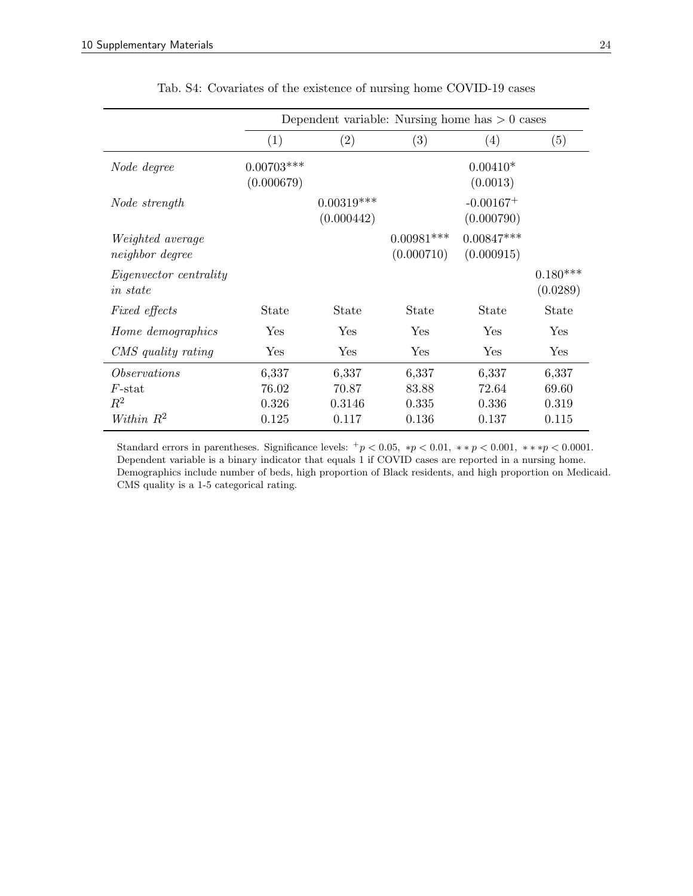<span id="page-24-0"></span>

|                                                   |                            | Dependent variable: Nursing home has $> 0$ cases |                            |                            |                         |
|---------------------------------------------------|----------------------------|--------------------------------------------------|----------------------------|----------------------------|-------------------------|
|                                                   | (1)                        | (2)                                              | (3)                        | (4)                        | (5)                     |
| Node degree                                       | $0.00703***$<br>(0.000679) |                                                  |                            | $0.00410*$<br>(0.0013)     |                         |
| Node strength                                     |                            | $0.00319***$<br>(0.000442)                       |                            | $-0.00167+$<br>(0.000790)  |                         |
| <i>Weighted average</i><br><i>neighbor</i> degree |                            |                                                  | $0.00981***$<br>(0.000710) | $0.00847***$<br>(0.000915) |                         |
| <i>Eigenvector centrality</i><br><i>in state</i>  |                            |                                                  |                            |                            | $0.180***$<br>(0.0289)  |
| <i>Fixed effects</i>                              | State                      | State                                            | State                      | State                      | State                   |
| Home demographics                                 | $\operatorname{Yes}$       | Yes                                              | Yes                        | Yes                        | Yes                     |
| CMS quality rating                                | $\operatorname{Yes}$       | Yes                                              | Yes                        | Yes                        | Yes                     |
| <i>Observations</i><br>$F$ -stat<br>$R^2$         | 6,337<br>76.02<br>0.326    | 6,337<br>70.87<br>0.3146                         | 6,337<br>83.88<br>0.335    | 6,337<br>72.64<br>0.336    | 6,337<br>69.60<br>0.319 |
| Within $R^2$                                      | 0.125                      | 0.117                                            | 0.136                      | 0.137                      | 0.115                   |

Tab. S4: Covariates of the existence of nursing home COVID-19 cases

Standard errors in parentheses. Significance levels:  $+p < 0.05$ ,  $*p < 0.01$ ,  $** p < 0.001$ ,  $** p < 0.0001$ . Dependent variable is a binary indicator that equals 1 if COVID cases are reported in a nursing home. Demographics include number of beds, high proportion of Black residents, and high proportion on Medicaid. CMS quality is a 1-5 categorical rating.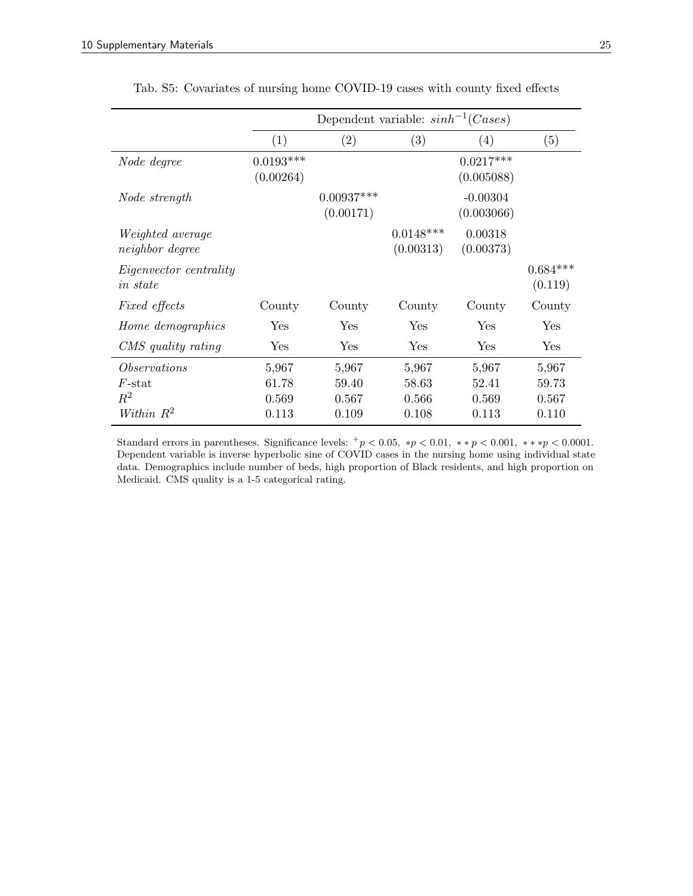<span id="page-25-0"></span>

|                                                           |                                  | Dependent variable: $sinh^{-1}(Case s)$ |                                  |                                  |                                  |
|-----------------------------------------------------------|----------------------------------|-----------------------------------------|----------------------------------|----------------------------------|----------------------------------|
|                                                           | (1)                              | (2)                                     | (3)                              | $\left(4\right)$                 | (5)                              |
| Node degree                                               | $0.0193***$<br>(0.00264)         |                                         |                                  | $0.0217***$<br>(0.005088)        |                                  |
| Node strength                                             |                                  | $0.00937***$<br>(0.00171)               |                                  | $-0.00304$<br>(0.003066)         |                                  |
| <i>Weighted average</i><br><i>neighbor</i> degree         |                                  |                                         | $0.0148***$<br>(0.00313)         | 0.00318<br>(0.00373)             |                                  |
| <i>Eigenvector centrality</i><br><i>in state</i>          |                                  |                                         |                                  |                                  | $0.684***$<br>(0.119)            |
| <i>Fixed effects</i>                                      | County                           | County                                  | County                           | County                           | County                           |
| Home demographics                                         | Yes                              | Yes                                     | Yes                              | Yes                              | ${\rm Yes}$                      |
| CMS quality rating                                        | Yes                              | Yes                                     | Yes                              | Yes                              | Yes                              |
| <i>Observations</i><br>$F$ -stat<br>$R^2$<br>Within $R^2$ | 5,967<br>61.78<br>0.569<br>0.113 | 5,967<br>59.40<br>0.567<br>0.109        | 5,967<br>58.63<br>0.566<br>0.108 | 5,967<br>52.41<br>0.569<br>0.113 | 5,967<br>59.73<br>0.567<br>0.110 |

Tab. S5: Covariates of nursing home COVID-19 cases with county fixed effects

Standard errors in parentheses. Significance levels:  $+p < 0.05$ ,  $*p < 0.01$ ,  $** p < 0.001$ ,  $** p < 0.0001$ . Dependent variable is inverse hyperbolic sine of COVID cases in the nursing home using individual state data. Demographics include number of beds, high proportion of Black residents, and high proportion on Medicaid. CMS quality is a 1-5 categorical rating.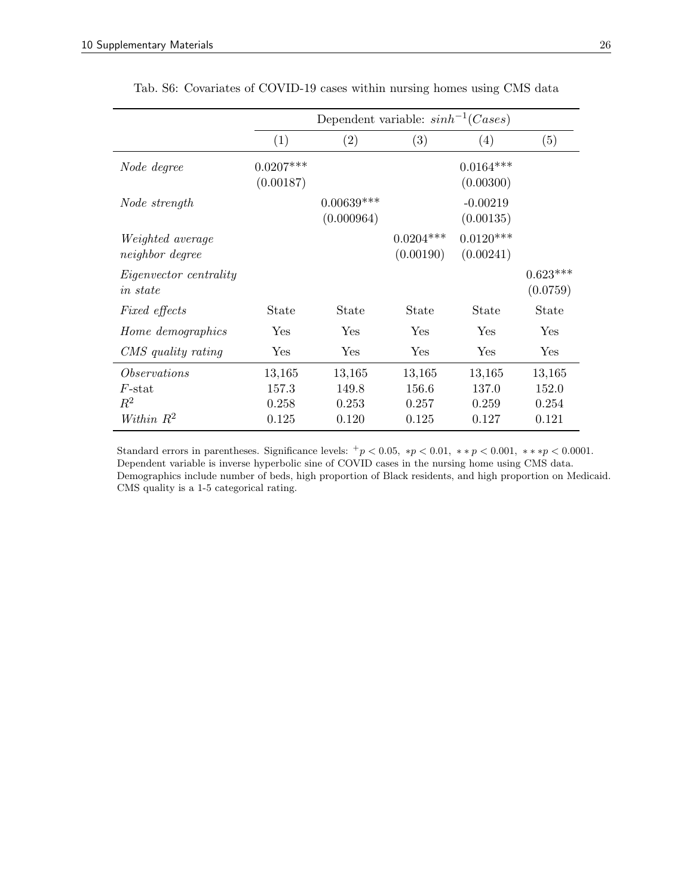<span id="page-26-0"></span>

|                                                                 | Dependent variable: $sinh^{-1}(Case s)$ |                                   |                                   |                                   |                                   |
|-----------------------------------------------------------------|-----------------------------------------|-----------------------------------|-----------------------------------|-----------------------------------|-----------------------------------|
|                                                                 | (1)                                     | (2)                               | $\left( 3\right)$                 | (4)                               | (5)                               |
| Node degree                                                     | $0.0207***$<br>(0.00187)                |                                   |                                   | $0.0164***$<br>(0.00300)          |                                   |
| Node strength                                                   |                                         | $0.00639***$<br>(0.000964)        |                                   | $-0.00219$<br>(0.00135)           |                                   |
| <i>Weighted average</i><br><i>neighbor</i> degree               |                                         |                                   | $0.0204***$<br>(0.00190)          | $0.0120***$<br>(0.00241)          |                                   |
| <i>Eigenvector centrality</i><br><i>in state</i>                |                                         |                                   |                                   |                                   | $0.623***$<br>(0.0759)            |
| <i>Fixed effects</i>                                            | State                                   | State                             | <b>State</b>                      | State                             | State                             |
| Home demographics                                               | Yes                                     | Yes                               | Yes                               | Yes                               | Yes                               |
| CMS quality rating                                              | Yes                                     | Yes                               | Yes                               | Yes                               | Yes                               |
| <i>Observations</i><br>$F\text{-stat}$<br>$R^2$<br>Within $R^2$ | 13,165<br>157.3<br>0.258<br>0.125       | 13,165<br>149.8<br>0.253<br>0.120 | 13,165<br>156.6<br>0.257<br>0.125 | 13,165<br>137.0<br>0.259<br>0.127 | 13,165<br>152.0<br>0.254<br>0.121 |

Tab. S6: Covariates of COVID-19 cases within nursing homes using CMS data

Standard errors in parentheses. Significance levels:  $+p < 0.05$ ,  $*p < 0.01$ ,  $** p < 0.001$ ,  $** p < 0.0001$ . Dependent variable is inverse hyperbolic sine of COVID cases in the nursing home using CMS data. Demographics include number of beds, high proportion of Black residents, and high proportion on Medicaid. CMS quality is a 1-5 categorical rating.